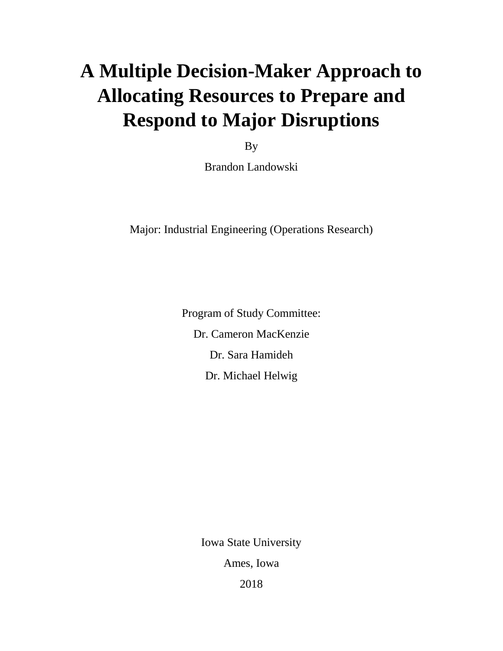# **A Multiple Decision-Maker Approach to Allocating Resources to Prepare and Respond to Major Disruptions**

By

Brandon Landowski

Major: Industrial Engineering (Operations Research)

Program of Study Committee: Dr. Cameron MacKenzie Dr. Sara Hamideh Dr. Michael Helwig

Iowa State University

Ames, Iowa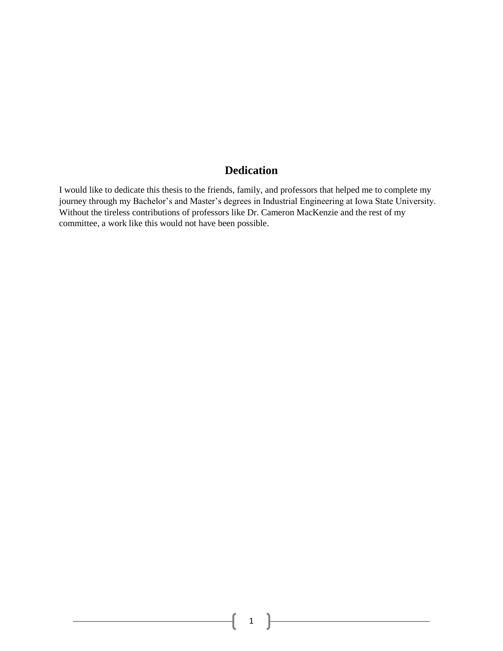### **Dedication**

I would like to dedicate this thesis to the friends, family, and professors that helped me to complete my journey through my Bachelor's and Master's degrees in Industrial Engineering at Iowa State University. Without the tireless contributions of professors like Dr. Cameron MacKenzie and the rest of my committee, a work like this would not have been possible.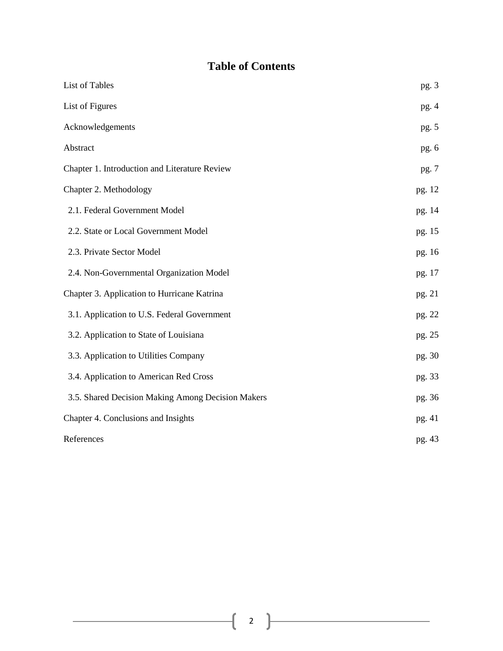## **Table of Contents**

| List of Tables                                    | pg. 3  |
|---------------------------------------------------|--------|
| List of Figures                                   | pg.4   |
| Acknowledgements                                  | pg. 5  |
| Abstract                                          | pg. 6  |
| Chapter 1. Introduction and Literature Review     | pg. 7  |
| Chapter 2. Methodology                            | pg. 12 |
| 2.1. Federal Government Model                     | pg. 14 |
| 2.2. State or Local Government Model              | pg. 15 |
| 2.3. Private Sector Model                         | pg. 16 |
| 2.4. Non-Governmental Organization Model          | pg. 17 |
| Chapter 3. Application to Hurricane Katrina       | pg. 21 |
| 3.1. Application to U.S. Federal Government       | pg. 22 |
| 3.2. Application to State of Louisiana            | pg. 25 |
| 3.3. Application to Utilities Company             | pg. 30 |
| 3.4. Application to American Red Cross            | pg. 33 |
| 3.5. Shared Decision Making Among Decision Makers | pg. 36 |
| Chapter 4. Conclusions and Insights               | pg. 41 |
| References                                        | pg. 43 |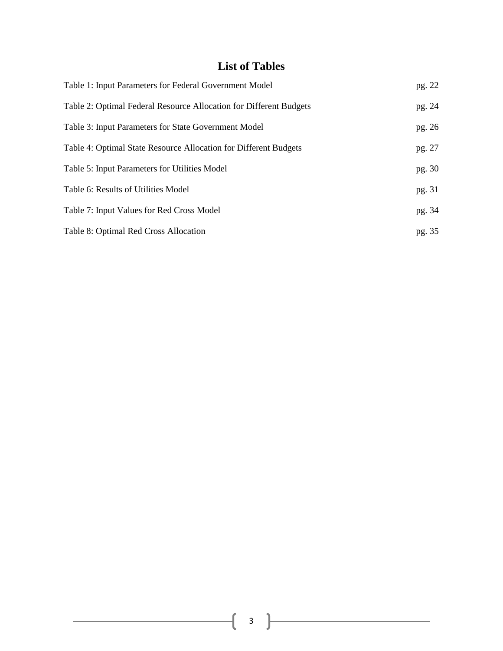## **List of Tables**

| Table 1: Input Parameters for Federal Government Model             | pg. 22 |
|--------------------------------------------------------------------|--------|
| Table 2: Optimal Federal Resource Allocation for Different Budgets | pg. 24 |
| Table 3: Input Parameters for State Government Model               | pg. 26 |
| Table 4: Optimal State Resource Allocation for Different Budgets   | pg. 27 |
| Table 5: Input Parameters for Utilities Model                      | pg. 30 |
| Table 6: Results of Utilities Model                                | pg. 31 |
| Table 7: Input Values for Red Cross Model                          | pg. 34 |
| Table 8: Optimal Red Cross Allocation                              | pg. 35 |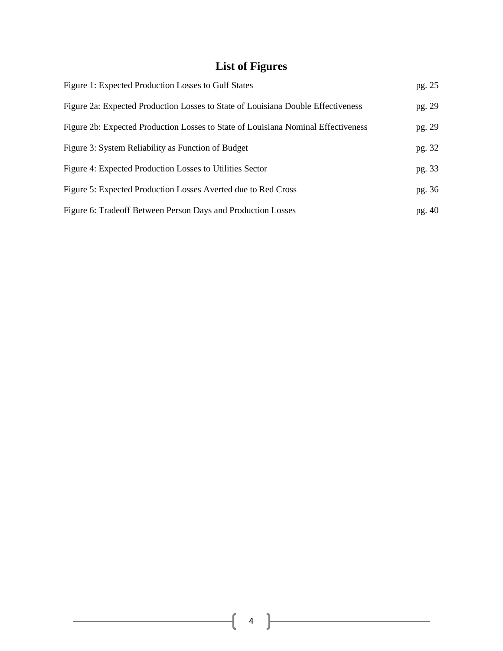## **List of Figures**

| Figure 1: Expected Production Losses to Gulf States                               | pg. 25 |
|-----------------------------------------------------------------------------------|--------|
| Figure 2a: Expected Production Losses to State of Louisiana Double Effectiveness  | pg. 29 |
| Figure 2b: Expected Production Losses to State of Louisiana Nominal Effectiveness | pg. 29 |
| Figure 3: System Reliability as Function of Budget                                | pg. 32 |
| Figure 4: Expected Production Losses to Utilities Sector                          | pg. 33 |
| Figure 5: Expected Production Losses Averted due to Red Cross                     | pg. 36 |
| Figure 6: Tradeoff Between Person Days and Production Losses                      | pg. 40 |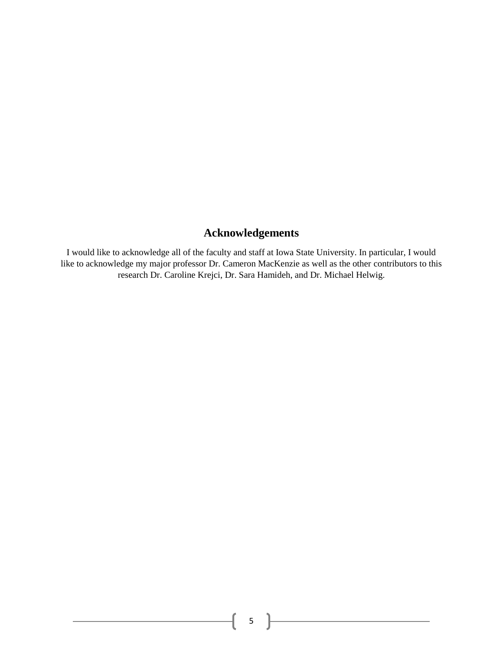## **Acknowledgements**

I would like to acknowledge all of the faculty and staff at Iowa State University. In particular, I would like to acknowledge my major professor Dr. Cameron MacKenzie as well as the other contributors to this research Dr. Caroline Krejci, Dr. Sara Hamideh, and Dr. Michael Helwig.

 $\overline{\mathcal{A}}$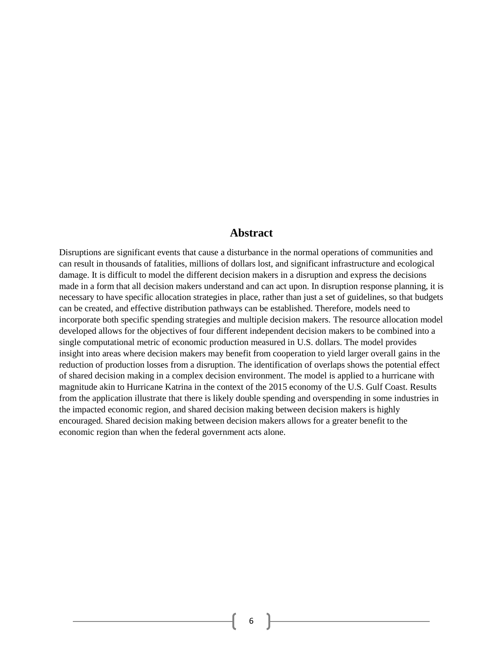#### **Abstract**

Disruptions are significant events that cause a disturbance in the normal operations of communities and can result in thousands of fatalities, millions of dollars lost, and significant infrastructure and ecological damage. It is difficult to model the different decision makers in a disruption and express the decisions made in a form that all decision makers understand and can act upon. In disruption response planning, it is necessary to have specific allocation strategies in place, rather than just a set of guidelines, so that budgets can be created, and effective distribution pathways can be established. Therefore, models need to incorporate both specific spending strategies and multiple decision makers. The resource allocation model developed allows for the objectives of four different independent decision makers to be combined into a single computational metric of economic production measured in U.S. dollars. The model provides insight into areas where decision makers may benefit from cooperation to yield larger overall gains in the reduction of production losses from a disruption. The identification of overlaps shows the potential effect of shared decision making in a complex decision environment. The model is applied to a hurricane with magnitude akin to Hurricane Katrina in the context of the 2015 economy of the U.S. Gulf Coast. Results from the application illustrate that there is likely double spending and overspending in some industries in the impacted economic region, and shared decision making between decision makers is highly encouraged. Shared decision making between decision makers allows for a greater benefit to the economic region than when the federal government acts alone.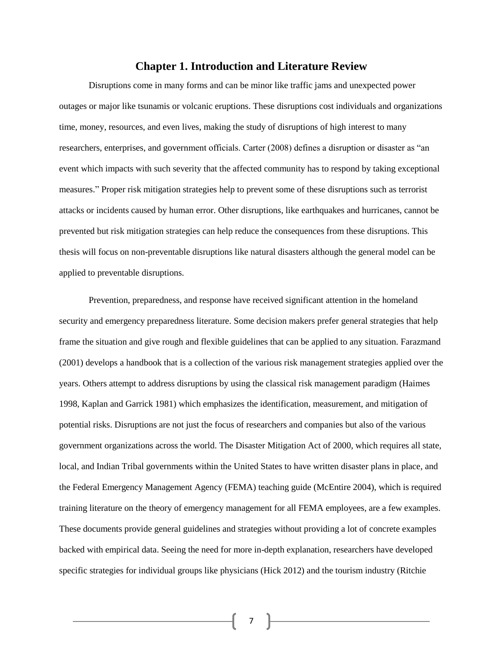#### **Chapter 1. Introduction and Literature Review**

Disruptions come in many forms and can be minor like traffic jams and unexpected power outages or major like tsunamis or volcanic eruptions. These disruptions cost individuals and organizations time, money, resources, and even lives, making the study of disruptions of high interest to many researchers, enterprises, and government officials. Carter (2008) defines a disruption or disaster as "an event which impacts with such severity that the affected community has to respond by taking exceptional measures." Proper risk mitigation strategies help to prevent some of these disruptions such as terrorist attacks or incidents caused by human error. Other disruptions, like earthquakes and hurricanes, cannot be prevented but risk mitigation strategies can help reduce the consequences from these disruptions. This thesis will focus on non-preventable disruptions like natural disasters although the general model can be applied to preventable disruptions.

Prevention, preparedness, and response have received significant attention in the homeland security and emergency preparedness literature. Some decision makers prefer general strategies that help frame the situation and give rough and flexible guidelines that can be applied to any situation. Farazmand (2001) develops a handbook that is a collection of the various risk management strategies applied over the years. Others attempt to address disruptions by using the classical risk management paradigm (Haimes 1998, Kaplan and Garrick 1981) which emphasizes the identification, measurement, and mitigation of potential risks. Disruptions are not just the focus of researchers and companies but also of the various government organizations across the world. The Disaster Mitigation Act of 2000, which requires all state, local, and Indian Tribal governments within the United States to have written disaster plans in place, and the Federal Emergency Management Agency (FEMA) teaching guide (McEntire 2004), which is required training literature on the theory of emergency management for all FEMA employees, are a few examples. These documents provide general guidelines and strategies without providing a lot of concrete examples backed with empirical data. Seeing the need for more in-depth explanation, researchers have developed specific strategies for individual groups like physicians (Hick 2012) and the tourism industry (Ritchie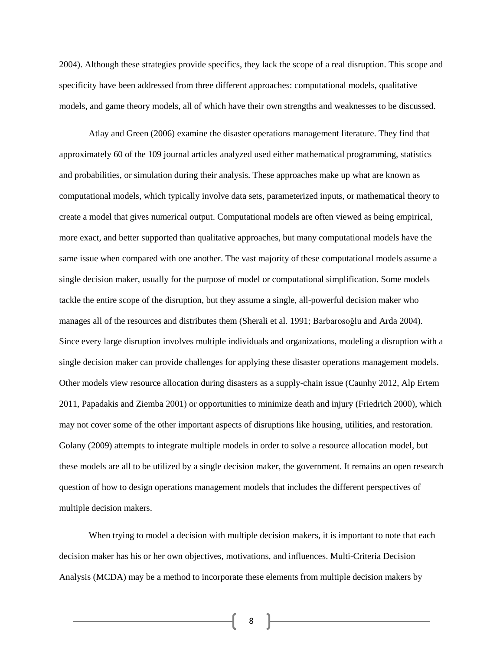2004). Although these strategies provide specifics, they lack the scope of a real disruption. This scope and specificity have been addressed from three different approaches: computational models, qualitative models, and game theory models, all of which have their own strengths and weaknesses to be discussed.

Atlay and Green (2006) examine the disaster operations management literature. They find that approximately 60 of the 109 journal articles analyzed used either mathematical programming, statistics and probabilities, or simulation during their analysis. These approaches make up what are known as computational models, which typically involve data sets, parameterized inputs, or mathematical theory to create a model that gives numerical output. Computational models are often viewed as being empirical, more exact, and better supported than qualitative approaches, but many computational models have the same issue when compared with one another. The vast majority of these computational models assume a single decision maker, usually for the purpose of model or computational simplification. Some models tackle the entire scope of the disruption, but they assume a single, all-powerful decision maker who manages all of the resources and distributes them (Sherali et al. 1991; Barbarosoğlu and Arda 2004). Since every large disruption involves multiple individuals and organizations, modeling a disruption with a single decision maker can provide challenges for applying these disaster operations management models. Other models view resource allocation during disasters as a supply-chain issue (Caunhy 2012, Alp Ertem 2011, Papadakis and Ziemba 2001) or opportunities to minimize death and injury (Friedrich 2000), which may not cover some of the other important aspects of disruptions like housing, utilities, and restoration. Golany (2009) attempts to integrate multiple models in order to solve a resource allocation model, but these models are all to be utilized by a single decision maker, the government. It remains an open research question of how to design operations management models that includes the different perspectives of multiple decision makers.

When trying to model a decision with multiple decision makers, it is important to note that each decision maker has his or her own objectives, motivations, and influences. Multi-Criteria Decision Analysis (MCDA) may be a method to incorporate these elements from multiple decision makers by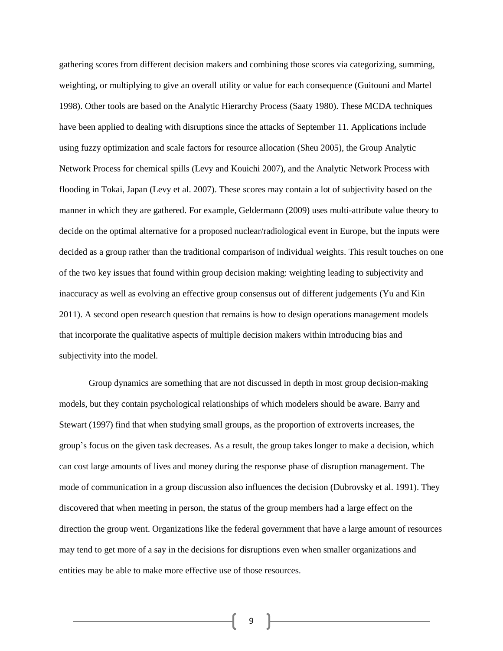gathering scores from different decision makers and combining those scores via categorizing, summing, weighting, or multiplying to give an overall utility or value for each consequence (Guitouni and Martel 1998). Other tools are based on the Analytic Hierarchy Process (Saaty 1980). These MCDA techniques have been applied to dealing with disruptions since the attacks of September 11. Applications include using fuzzy optimization and scale factors for resource allocation (Sheu 2005), the Group Analytic Network Process for chemical spills (Levy and Kouichi 2007), and the Analytic Network Process with flooding in Tokai, Japan (Levy et al. 2007). These scores may contain a lot of subjectivity based on the manner in which they are gathered. For example, Geldermann (2009) uses multi-attribute value theory to decide on the optimal alternative for a proposed nuclear/radiological event in Europe, but the inputs were decided as a group rather than the traditional comparison of individual weights. This result touches on one of the two key issues that found within group decision making: weighting leading to subjectivity and inaccuracy as well as evolving an effective group consensus out of different judgements (Yu and Kin 2011). A second open research question that remains is how to design operations management models that incorporate the qualitative aspects of multiple decision makers within introducing bias and subjectivity into the model.

Group dynamics are something that are not discussed in depth in most group decision-making models, but they contain psychological relationships of which modelers should be aware. Barry and Stewart (1997) find that when studying small groups, as the proportion of extroverts increases, the group's focus on the given task decreases. As a result, the group takes longer to make a decision, which can cost large amounts of lives and money during the response phase of disruption management. The mode of communication in a group discussion also influences the decision (Dubrovsky et al. 1991). They discovered that when meeting in person, the status of the group members had a large effect on the direction the group went. Organizations like the federal government that have a large amount of resources may tend to get more of a say in the decisions for disruptions even when smaller organizations and entities may be able to make more effective use of those resources.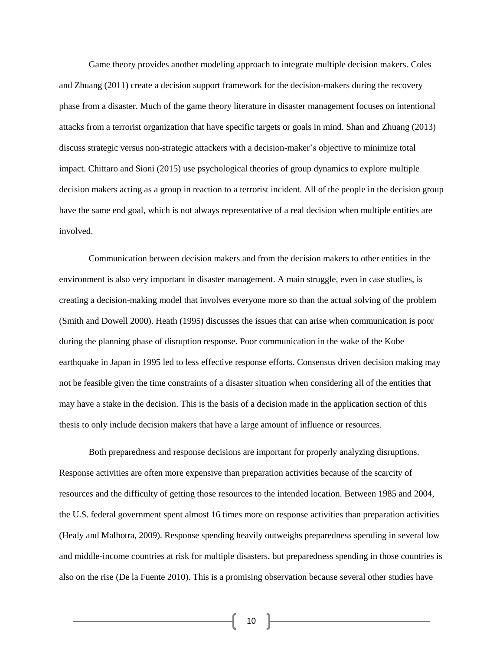Game theory provides another modeling approach to integrate multiple decision makers. Coles and Zhuang (2011) create a decision support framework for the decision-makers during the recovery phase from a disaster. Much of the game theory literature in disaster management focuses on intentional attacks from a terrorist organization that have specific targets or goals in mind. Shan and Zhuang (2013) discuss strategic versus non-strategic attackers with a decision-maker's objective to minimize total impact. Chittaro and Sioni (2015) use psychological theories of group dynamics to explore multiple decision makers acting as a group in reaction to a terrorist incident. All of the people in the decision group have the same end goal, which is not always representative of a real decision when multiple entities are involved.

Communication between decision makers and from the decision makers to other entities in the environment is also very important in disaster management. A main struggle, even in case studies, is creating a decision-making model that involves everyone more so than the actual solving of the problem (Smith and Dowell 2000). Heath (1995) discusses the issues that can arise when communication is poor during the planning phase of disruption response. Poor communication in the wake of the Kobe earthquake in Japan in 1995 led to less effective response efforts. Consensus driven decision making may not be feasible given the time constraints of a disaster situation when considering all of the entities that may have a stake in the decision. This is the basis of a decision made in the application section of this thesis to only include decision makers that have a large amount of influence or resources.

Both preparedness and response decisions are important for properly analyzing disruptions. Response activities are often more expensive than preparation activities because of the scarcity of resources and the difficulty of getting those resources to the intended location. Between 1985 and 2004, the U.S. federal government spent almost 16 times more on response activities than preparation activities (Healy and Malhotra, 2009). Response spending heavily outweighs preparedness spending in several low and middle-income countries at risk for multiple disasters, but preparedness spending in those countries is also on the rise (De la Fuente 2010). This is a promising observation because several other studies have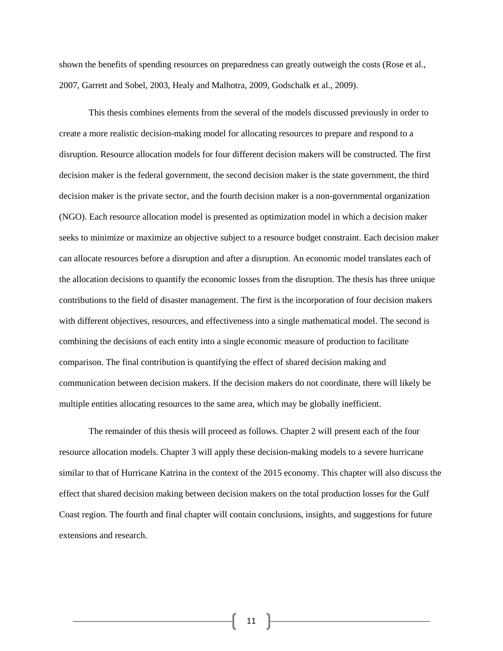shown the benefits of spending resources on preparedness can greatly outweigh the costs (Rose et al., 2007, Garrett and Sobel, 2003, Healy and Malhotra, 2009, Godschalk et al., 2009).

This thesis combines elements from the several of the models discussed previously in order to create a more realistic decision-making model for allocating resources to prepare and respond to a disruption. Resource allocation models for four different decision makers will be constructed. The first decision maker is the federal government, the second decision maker is the state government, the third decision maker is the private sector, and the fourth decision maker is a non-governmental organization (NGO). Each resource allocation model is presented as optimization model in which a decision maker seeks to minimize or maximize an objective subject to a resource budget constraint. Each decision maker can allocate resources before a disruption and after a disruption. An economic model translates each of the allocation decisions to quantify the economic losses from the disruption. The thesis has three unique contributions to the field of disaster management. The first is the incorporation of four decision makers with different objectives, resources, and effectiveness into a single mathematical model. The second is combining the decisions of each entity into a single economic measure of production to facilitate comparison. The final contribution is quantifying the effect of shared decision making and communication between decision makers. If the decision makers do not coordinate, there will likely be multiple entities allocating resources to the same area, which may be globally inefficient.

The remainder of this thesis will proceed as follows. Chapter 2 will present each of the four resource allocation models. Chapter 3 will apply these decision-making models to a severe hurricane similar to that of Hurricane Katrina in the context of the 2015 economy. This chapter will also discuss the effect that shared decision making between decision makers on the total production losses for the Gulf Coast region. The fourth and final chapter will contain conclusions, insights, and suggestions for future extensions and research.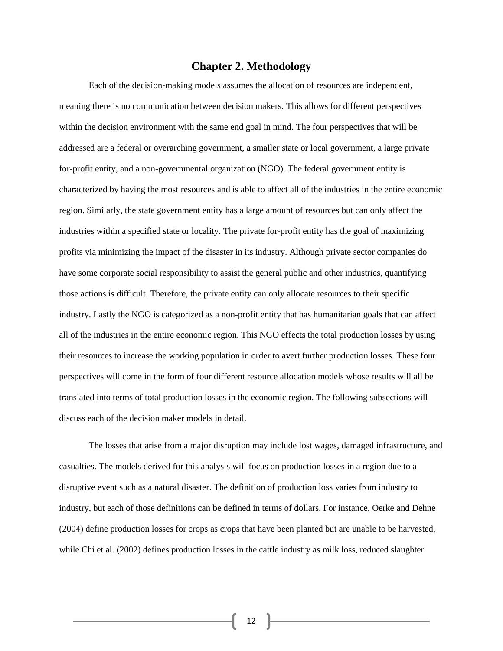#### **Chapter 2. Methodology**

Each of the decision-making models assumes the allocation of resources are independent, meaning there is no communication between decision makers. This allows for different perspectives within the decision environment with the same end goal in mind. The four perspectives that will be addressed are a federal or overarching government, a smaller state or local government, a large private for-profit entity, and a non-governmental organization (NGO). The federal government entity is characterized by having the most resources and is able to affect all of the industries in the entire economic region. Similarly, the state government entity has a large amount of resources but can only affect the industries within a specified state or locality. The private for-profit entity has the goal of maximizing profits via minimizing the impact of the disaster in its industry. Although private sector companies do have some corporate social responsibility to assist the general public and other industries, quantifying those actions is difficult. Therefore, the private entity can only allocate resources to their specific industry. Lastly the NGO is categorized as a non-profit entity that has humanitarian goals that can affect all of the industries in the entire economic region. This NGO effects the total production losses by using their resources to increase the working population in order to avert further production losses. These four perspectives will come in the form of four different resource allocation models whose results will all be translated into terms of total production losses in the economic region. The following subsections will discuss each of the decision maker models in detail.

The losses that arise from a major disruption may include lost wages, damaged infrastructure, and casualties. The models derived for this analysis will focus on production losses in a region due to a disruptive event such as a natural disaster. The definition of production loss varies from industry to industry, but each of those definitions can be defined in terms of dollars. For instance, Oerke and Dehne (2004) define production losses for crops as crops that have been planted but are unable to be harvested, while Chi et al. (2002) defines production losses in the cattle industry as milk loss, reduced slaughter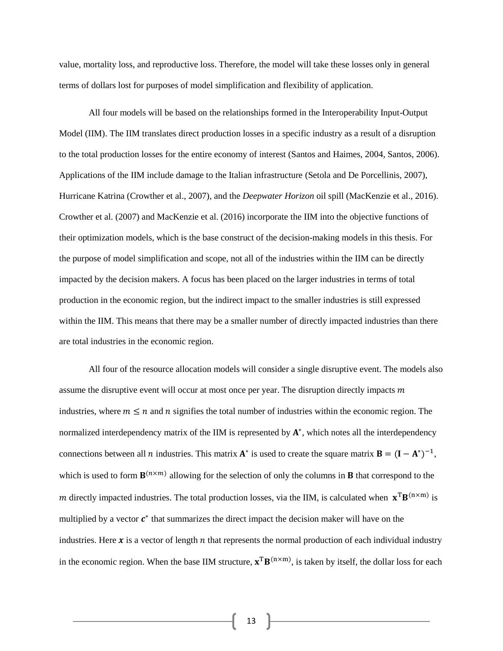value, mortality loss, and reproductive loss. Therefore, the model will take these losses only in general terms of dollars lost for purposes of model simplification and flexibility of application.

All four models will be based on the relationships formed in the Interoperability Input-Output Model (IIM). The IIM translates direct production losses in a specific industry as a result of a disruption to the total production losses for the entire economy of interest (Santos and Haimes, 2004, Santos, 2006). Applications of the IIM include damage to the Italian infrastructure (Setola and De Porcellinis, 2007), Hurricane Katrina (Crowther et al., 2007), and the *Deepwater Horizon* oil spill (MacKenzie et al., 2016). Crowther et al. (2007) and MacKenzie et al. (2016) incorporate the IIM into the objective functions of their optimization models, which is the base construct of the decision-making models in this thesis. For the purpose of model simplification and scope, not all of the industries within the IIM can be directly impacted by the decision makers. A focus has been placed on the larger industries in terms of total production in the economic region, but the indirect impact to the smaller industries is still expressed within the IIM. This means that there may be a smaller number of directly impacted industries than there are total industries in the economic region.

All four of the resource allocation models will consider a single disruptive event. The models also assume the disruptive event will occur at most once per year. The disruption directly impacts  $m$ industries, where  $m \le n$  and n signifies the total number of industries within the economic region. The normalized interdependency matrix of the IIM is represented by  $A^*$ , which notes all the interdependency connections between all *n* industries. This matrix  $A^*$  is used to create the square matrix  $B = (I - A^*)^{-1}$ , which is used to form  $\mathbf{B}^{(n \times m)}$  allowing for the selection of only the columns in **B** that correspond to the m directly impacted industries. The total production losses, via the IIM, is calculated when  $\mathbf{x}^T \mathbf{B}^{(n \times m)}$  is multiplied by a vector  $c^*$  that summarizes the direct impact the decision maker will have on the industries. Here  $x$  is a vector of length  $n$  that represents the normal production of each individual industry in the economic region. When the base IIM structure,  $\mathbf{x}^T \mathbf{B}^{(n \times m)}$ , is taken by itself, the dollar loss for each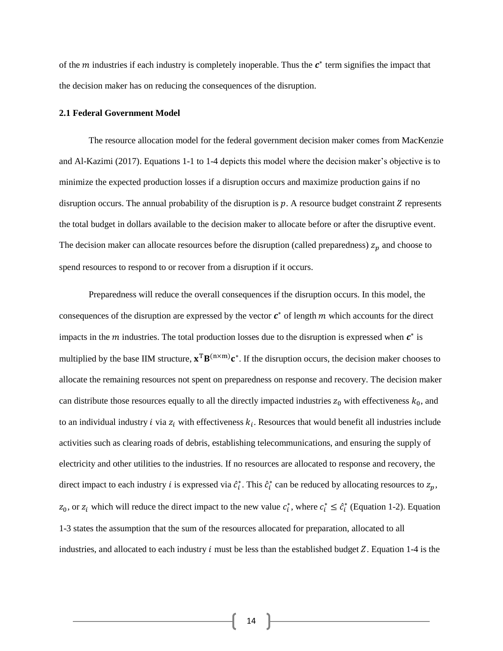of the  $m$  industries if each industry is completely inoperable. Thus the  $c^*$  term signifies the impact that the decision maker has on reducing the consequences of the disruption.

#### **2.1 Federal Government Model**

The resource allocation model for the federal government decision maker comes from MacKenzie and Al-Kazimi (2017). Equations 1-1 to 1-4 depicts this model where the decision maker's objective is to minimize the expected production losses if a disruption occurs and maximize production gains if no disruption occurs. The annual probability of the disruption is  $p$ . A resource budget constraint  $Z$  represents the total budget in dollars available to the decision maker to allocate before or after the disruptive event. The decision maker can allocate resources before the disruption (called preparedness)  $z_p$  and choose to spend resources to respond to or recover from a disruption if it occurs.

Preparedness will reduce the overall consequences if the disruption occurs. In this model, the consequences of the disruption are expressed by the vector  $c^*$  of length  $m$  which accounts for the direct impacts in the  $m$  industries. The total production losses due to the disruption is expressed when  $c^*$  is multiplied by the base IIM structure,  $\mathbf{x}^T \mathbf{B}^{(n \times m)} \mathbf{c}^*$ . If the disruption occurs, the decision maker chooses to allocate the remaining resources not spent on preparedness on response and recovery. The decision maker can distribute those resources equally to all the directly impacted industries  $z_0$  with effectiveness  $k_0$ , and to an individual industry *i* via  $z_i$  with effectiveness  $k_i$ . Resources that would benefit all industries include activities such as clearing roads of debris, establishing telecommunications, and ensuring the supply of electricity and other utilities to the industries. If no resources are allocated to response and recovery, the direct impact to each industry *i* is expressed via  $\hat{c}_i^*$ . This  $\hat{c}_i^*$  can be reduced by allocating resources to  $z_p$ ,  $z_0$ , or  $z_i$  which will reduce the direct impact to the new value  $c_i^*$ , where  $c_i^* \leq \hat{c}_i^*$  (Equation 1-2). Equation 1-3 states the assumption that the sum of the resources allocated for preparation, allocated to all industries, and allocated to each industry  $i$  must be less than the established budget  $Z$ . Equation 1-4 is the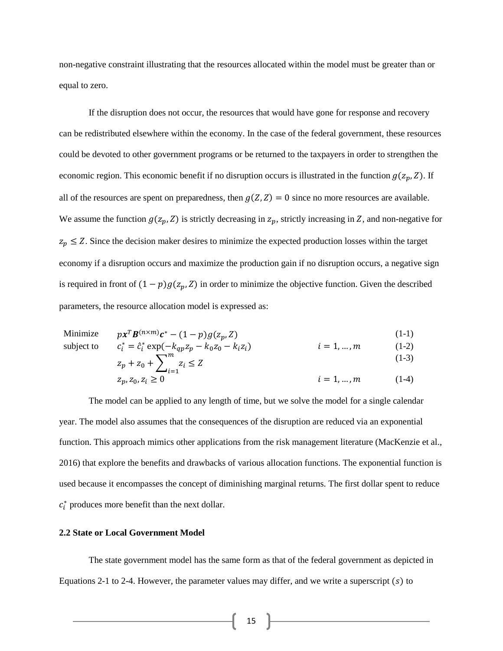non-negative constraint illustrating that the resources allocated within the model must be greater than or equal to zero.

If the disruption does not occur, the resources that would have gone for response and recovery can be redistributed elsewhere within the economy. In the case of the federal government, these resources could be devoted to other government programs or be returned to the taxpayers in order to strengthen the economic region. This economic benefit if no disruption occurs is illustrated in the function  $g(z_p, Z)$ . If all of the resources are spent on preparedness, then  $g(Z, Z) = 0$  since no more resources are available. We assume the function  $g(z_p, Z)$  is strictly decreasing in  $z_p$ , strictly increasing in Z, and non-negative for  $z_p \leq Z$ . Since the decision maker desires to minimize the expected production losses within the target economy if a disruption occurs and maximize the production gain if no disruption occurs, a negative sign is required in front of  $(1 - p)g(z_p, Z)$  in order to minimize the objective function. Given the described parameters, the resource allocation model is expressed as:

Minimize 
$$
px^T B^{(n \times m)} c^* - (1 - p)g(z_p, Z)
$$
 (1-1)  
subject to  $c_i^* = \hat{c}_i^* \exp(-k_{an} z_n - k_0 z_0 - k_i z_i)$   $i = 1, ..., m$  (1-2)

$$
c_i^* = \hat{c}_i^* \exp(-k_{qp} z_p - k_0 z_0 - k_i z_i) \qquad i = 1, ..., m \qquad (1-2)
$$
  
\n
$$
z_p + z_0 + \sum_{i=1}^{m} z_i \le Z \qquad (1-3)
$$

$$
z_p, z_0, z_i \ge 0
$$
\n
$$
i = 1, ..., m \tag{1-4}
$$

The model can be applied to any length of time, but we solve the model for a single calendar year. The model also assumes that the consequences of the disruption are reduced via an exponential function. This approach mimics other applications from the risk management literature (MacKenzie et al., 2016) that explore the benefits and drawbacks of various allocation functions. The exponential function is used because it encompasses the concept of diminishing marginal returns. The first dollar spent to reduce  $c_i^*$  produces more benefit than the next dollar.

#### **2.2 State or Local Government Model**

The state government model has the same form as that of the federal government as depicted in Equations 2-1 to 2-4. However, the parameter values may differ, and we write a superscript  $(s)$  to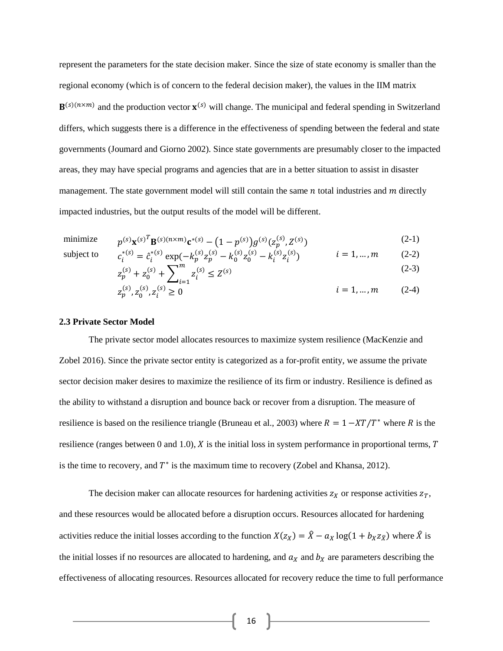represent the parameters for the state decision maker. Since the size of state economy is smaller than the regional economy (which is of concern to the federal decision maker), the values in the IIM matrix  $\mathbf{B}^{(s)(n \times m)}$  and the production vector  $\mathbf{x}^{(s)}$  will change. The municipal and federal spending in Switzerland differs, which suggests there is a difference in the effectiveness of spending between the federal and state governments (Joumard and Giorno 2002). Since state governments are presumably closer to the impacted areas, they may have special programs and agencies that are in a better situation to assist in disaster management. The state government model will still contain the same  $n$  total industries and  $m$  directly impacted industries, but the output results of the model will be different.

minimize 
$$
p^{(s)}\mathbf{x}^{(s)^T}\mathbf{B}^{(s)(n \times m)}\mathbf{c}^{*(s)} - (1 - p^{(s)})g^{(s)}(z_p^{(s)}, z^{(s)})
$$
 (2-1)

subject to

$$
p^{(3)}\mathbf{x}^{(3)} \mathbf{B}^{(3)}(h^{(2)}) - (1 - p^{(3)})g^{(3)}(z_p^{(3)})^2
$$
  
\n
$$
c_i^{*(s)} = \hat{c}_i^{*(s)} \exp(-k_p^{(s)}z_p^{(s)} - k_0^{(s)}z_0^{(s)} - k_i^{(s)}z_i^{(s)}) \qquad i = 1, ..., m \qquad (2-2)
$$

$$
z_p^{(s)} + z_0^{(s)} + \sum_{i=1}^m z_i^{(s)} \le Z^{(s)}
$$
 (2-3)

$$
z_p^{(s)}, z_0^{(s)}, z_i^{(s)} \ge 0 \qquad \qquad i = 1, \dots, m \qquad (2-4)
$$

#### **2.3 Private Sector Model**

The private sector model allocates resources to maximize system resilience (MacKenzie and Zobel 2016). Since the private sector entity is categorized as a for-profit entity, we assume the private sector decision maker desires to maximize the resilience of its firm or industry. Resilience is defined as the ability to withstand a disruption and bounce back or recover from a disruption. The measure of resilience is based on the resilience triangle (Bruneau et al., 2003) where  $R = 1 - XT/T^*$  where R is the resilience (ranges between 0 and 1.0),  $\chi$  is the initial loss in system performance in proportional terms,  $T$ is the time to recovery, and  $T^*$  is the maximum time to recovery (Zobel and Khansa, 2012).

The decision maker can allocate resources for hardening activities  $z<sub>X</sub>$  or response activities  $z<sub>T</sub>$ , and these resources would be allocated before a disruption occurs. Resources allocated for hardening activities reduce the initial losses according to the function  $X(z_X) = \hat{X} - a_X \log(1 + b_X z_{\bar{X}})$  where  $\hat{X}$  is the initial losses if no resources are allocated to hardening, and  $a<sub>X</sub>$  and  $b<sub>X</sub>$  are parameters describing the effectiveness of allocating resources. Resources allocated for recovery reduce the time to full performance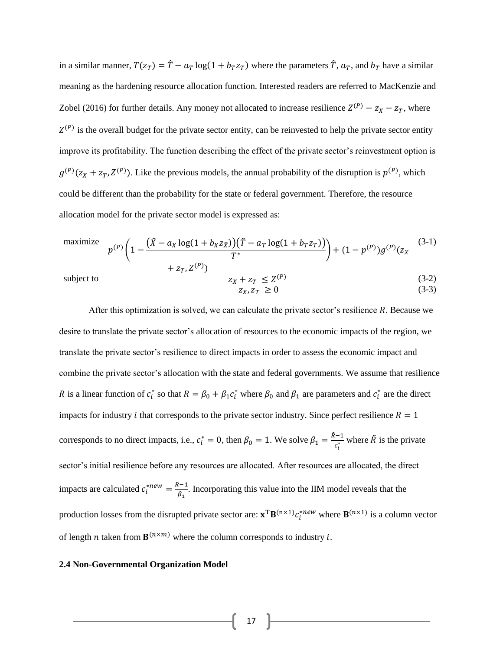in a similar manner,  $T(z_T) = \hat{T} - a_T \log(1 + b_T z_T)$  where the parameters  $\hat{T}$ ,  $a_T$ , and  $b_T$  have a similar meaning as the hardening resource allocation function. Interested readers are referred to MacKenzie and Zobel (2016) for further details. Any money not allocated to increase resilience  $Z^{(P)} - z_X - z_T$ , where  $Z^{(P)}$  is the overall budget for the private sector entity, can be reinvested to help the private sector entity improve its profitability. The function describing the effect of the private sector's reinvestment option is  $g^{(P)}(z_X + z_T, Z^{(P)})$ . Like the previous models, the annual probability of the disruption is  $p^{(P)}$ , which could be different than the probability for the state or federal government. Therefore, the resource allocation model for the private sector model is expressed as:

maximize 
$$
p^{(P)} \left( 1 - \frac{(\hat{X} - a_X \log(1 + b_X z_{\bar{X}}))(\hat{T} - a_Y \log(1 + b_Y z_{\bar{T}}))}{T^*} \right) + (1 - p^{(P)})g^{(P)}(z_X
$$
 (3-1)  
+  $z_T, Z^{(P)}$ )

subject to

$$
z_X + z_T \le Z^{(P)} \tag{3-2}
$$
  
\n
$$
z_X, z_T \ge 0 \tag{3-3}
$$

After this optimization is solved, we can calculate the private sector's resilience  $R$ . Because we desire to translate the private sector's allocation of resources to the economic impacts of the region, we translate the private sector's resilience to direct impacts in order to assess the economic impact and combine the private sector's allocation with the state and federal governments. We assume that resilience R is a linear function of  $c_i^*$  so that  $R = \beta_0 + \beta_1 c_i^*$  where  $\beta_0$  and  $\beta_1$  are parameters and  $c_i^*$  are the direct impacts for industry *i* that corresponds to the private sector industry. Since perfect resilience  $R = 1$ corresponds to no direct impacts, i.e.,  $c_i^* = 0$ , then  $\beta_0 = 1$ . We solve  $\beta_1 = \frac{\hat{\beta}-1}{c_i^*}$  $\frac{e^{i-1}}{c_i^*}$  where  $\hat{R}$  is the private sector's initial resilience before any resources are allocated. After resources are allocated, the direct impacts are calculated  $c_i^{*new} = \frac{R-1}{R}$  $\frac{1}{\beta_1}$ . Incorporating this value into the IIM model reveals that the production losses from the disrupted private sector are:  $\mathbf{x}^T \mathbf{B}^{(n \times 1)} c_i^{*new}$  where  $\mathbf{B}^{(n \times 1)}$  is a column vector of length *n* taken from  $\mathbf{B}^{(n \times m)}$  where the column corresponds to industry *i*.

#### **2.4 Non-Governmental Organization Model**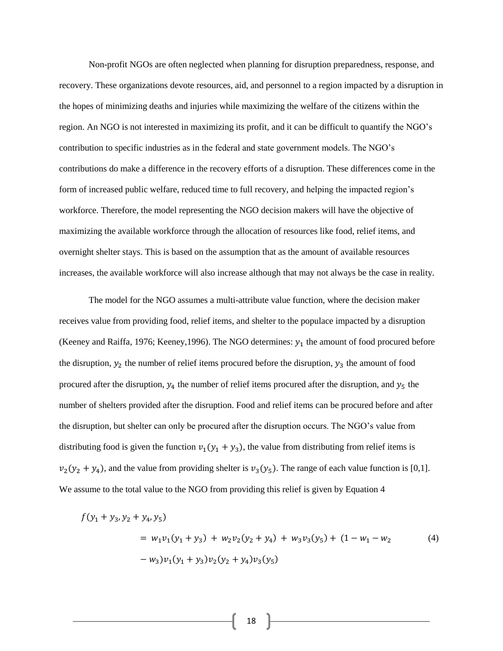Non-profit NGOs are often neglected when planning for disruption preparedness, response, and recovery. These organizations devote resources, aid, and personnel to a region impacted by a disruption in the hopes of minimizing deaths and injuries while maximizing the welfare of the citizens within the region. An NGO is not interested in maximizing its profit, and it can be difficult to quantify the NGO's contribution to specific industries as in the federal and state government models. The NGO's contributions do make a difference in the recovery efforts of a disruption. These differences come in the form of increased public welfare, reduced time to full recovery, and helping the impacted region's workforce. Therefore, the model representing the NGO decision makers will have the objective of maximizing the available workforce through the allocation of resources like food, relief items, and overnight shelter stays. This is based on the assumption that as the amount of available resources increases, the available workforce will also increase although that may not always be the case in reality.

The model for the NGO assumes a multi-attribute value function, where the decision maker receives value from providing food, relief items, and shelter to the populace impacted by a disruption (Keeney and Raiffa, 1976; Keeney, 1996). The NGO determines:  $y_1$  the amount of food procured before the disruption,  $y_2$  the number of relief items procured before the disruption,  $y_3$  the amount of food procured after the disruption,  $y_4$  the number of relief items procured after the disruption, and  $y_5$  the number of shelters provided after the disruption. Food and relief items can be procured before and after the disruption, but shelter can only be procured after the disruption occurs. The NGO's value from distributing food is given the function  $v_1(y_1 + y_3)$ , the value from distributing from relief items is  $v_2(y_2 + y_4)$ , and the value from providing shelter is  $v_3(y_5)$ . The range of each value function is [0,1]. We assume to the total value to the NGO from providing this relief is given by Equation 4

$$
f(y_1 + y_3, y_2 + y_4, y_5)
$$
  
=  $w_1v_1(y_1 + y_3) + w_2v_2(y_2 + y_4) + w_3v_3(y_5) + (1 - w_1 - w_2$   

$$
- w_3)v_1(y_1 + y_3)v_2(y_2 + y_4)v_3(y_5)
$$
 (4)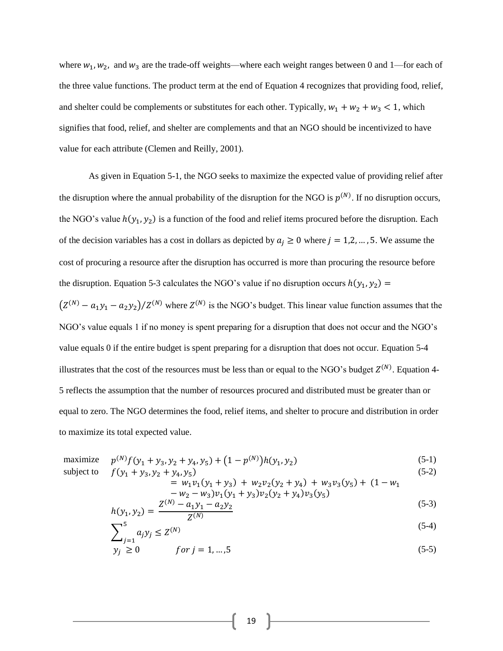where  $w_1, w_2$ , and  $w_3$  are the trade-off weights—where each weight ranges between 0 and 1—for each of the three value functions. The product term at the end of Equation 4 recognizes that providing food, relief, and shelter could be complements or substitutes for each other. Typically,  $w_1 + w_2 + w_3 < 1$ , which signifies that food, relief, and shelter are complements and that an NGO should be incentivized to have value for each attribute (Clemen and Reilly, 2001).

As given in Equation 5-1, the NGO seeks to maximize the expected value of providing relief after the disruption where the annual probability of the disruption for the NGO is  $p^{(N)}$ . If no disruption occurs, the NGO's value  $h(y_1, y_2)$  is a function of the food and relief items procured before the disruption. Each of the decision variables has a cost in dollars as depicted by  $a_j \ge 0$  where  $j = 1, 2, ..., 5$ . We assume the cost of procuring a resource after the disruption has occurred is more than procuring the resource before the disruption. Equation 5-3 calculates the NGO's value if no disruption occurs  $h(y_1, y_2) =$ 

 $(Z^{(N)} - a_1y_1 - a_2y_2)/Z^{(N)}$  where  $Z^{(N)}$  is the NGO's budget. This linear value function assumes that the NGO's value equals 1 if no money is spent preparing for a disruption that does not occur and the NGO's value equals 0 if the entire budget is spent preparing for a disruption that does not occur. Equation 5-4 illustrates that the cost of the resources must be less than or equal to the NGO's budget  $Z^{(N)}$ . Equation 4-5 reflects the assumption that the number of resources procured and distributed must be greater than or equal to zero. The NGO determines the food, relief items, and shelter to procure and distribution in order to maximize its total expected value.

maximize 
$$
p^{(N)}f(y_1 + y_3, y_2 + y_4, y_5) + (1 - p^{(N)})h(y_1, y_2)
$$
 (5-1)  
subject to  $f(y_1 + y_3, y_2 + y_4, y_5)$  (5-2)

 $\overline{a}$ 

$$
f(y_1 + y_3, y_2 + y_4, y_5) \tag{5-2}
$$

$$
= w_1v_1(y_1 + y_3) + w_2v_2(y_2 + y_4) + w_3v_3(y_5) + (1 - w_1 - w_2 - w_3)v_1(y_1 + y_3)v_2(y_2 + y_4)v_3(y_5)
$$

$$
h(y_1, y_2) = \frac{Z^{(N)} - a_1 y_1 - a_2 y_2}{Z^{(N)}}
$$
\n(5-3)

$$
\sum_{j=1}^{5} a_j y_j \le Z^{(N)} \tag{5-4}
$$

$$
y_j \ge 0
$$
 for  $j = 1, ..., 5$  (5-5)

$$
\boldsymbol{19}
$$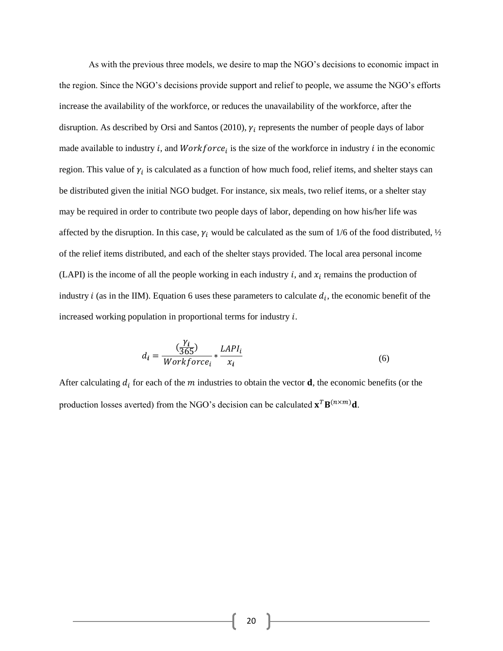As with the previous three models, we desire to map the NGO's decisions to economic impact in the region. Since the NGO's decisions provide support and relief to people, we assume the NGO's efforts increase the availability of the workforce, or reduces the unavailability of the workforce, after the disruption. As described by Orsi and Santos (2010),  $\gamma_i$  represents the number of people days of labor made available to industry *i*, and  $Workforce_i$  is the size of the workforce in industry *i* in the economic region. This value of  $\gamma_i$  is calculated as a function of how much food, relief items, and shelter stays can be distributed given the initial NGO budget. For instance, six meals, two relief items, or a shelter stay may be required in order to contribute two people days of labor, depending on how his/her life was affected by the disruption. In this case,  $\gamma_i$  would be calculated as the sum of 1/6 of the food distributed,  $\frac{1}{2}$ of the relief items distributed, and each of the shelter stays provided. The local area personal income (LAPI) is the income of all the people working in each industry  $i$ , and  $x_i$  remains the production of industry *i* (as in the IIM). Equation 6 uses these parameters to calculate  $d_i$ , the economic benefit of the increased working population in proportional terms for industry  $i$ .

$$
d_i = \frac{\left(\frac{\gamma_i}{365}\right)}{Workforce_i} * \frac{LAPI_i}{x_i}
$$
\n
$$
\tag{6}
$$

After calculating  $d_i$  for each of the  $m$  industries to obtain the vector  $\mathbf d$ , the economic benefits (or the production losses averted) from the NGO's decision can be calculated  $\mathbf{x}^T \mathbf{B}^{(n \times m)} \mathbf{d}$ .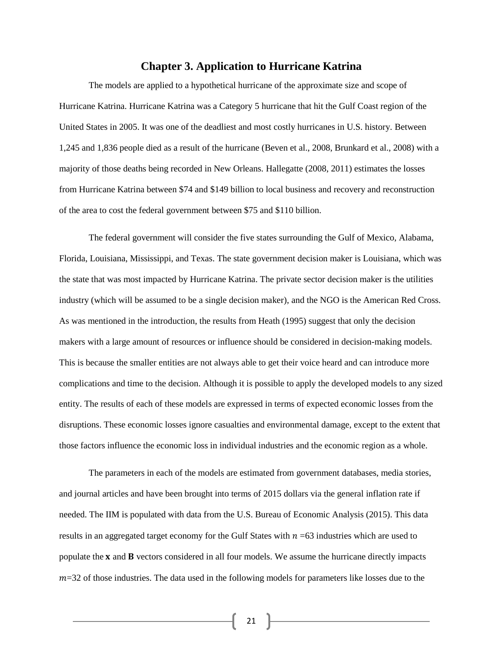#### **Chapter 3. Application to Hurricane Katrina**

The models are applied to a hypothetical hurricane of the approximate size and scope of Hurricane Katrina. Hurricane Katrina was a Category 5 hurricane that hit the Gulf Coast region of the United States in 2005. It was one of the deadliest and most costly hurricanes in U.S. history. Between 1,245 and 1,836 people died as a result of the hurricane (Beven et al., 2008, Brunkard et al., 2008) with a majority of those deaths being recorded in New Orleans. Hallegatte (2008, 2011) estimates the losses from Hurricane Katrina between \$74 and \$149 billion to local business and recovery and reconstruction of the area to cost the federal government between \$75 and \$110 billion.

The federal government will consider the five states surrounding the Gulf of Mexico, Alabama, Florida, Louisiana, Mississippi, and Texas. The state government decision maker is Louisiana, which was the state that was most impacted by Hurricane Katrina. The private sector decision maker is the utilities industry (which will be assumed to be a single decision maker), and the NGO is the American Red Cross. As was mentioned in the introduction, the results from Heath (1995) suggest that only the decision makers with a large amount of resources or influence should be considered in decision-making models. This is because the smaller entities are not always able to get their voice heard and can introduce more complications and time to the decision. Although it is possible to apply the developed models to any sized entity. The results of each of these models are expressed in terms of expected economic losses from the disruptions. These economic losses ignore casualties and environmental damage, except to the extent that those factors influence the economic loss in individual industries and the economic region as a whole.

The parameters in each of the models are estimated from government databases, media stories, and journal articles and have been brought into terms of 2015 dollars via the general inflation rate if needed. The IIM is populated with data from the U.S. Bureau of Economic Analysis (2015). This data results in an aggregated target economy for the Gulf States with  $n = 63$  industries which are used to populate the  $x$  and  $B$  vectors considered in all four models. We assume the hurricane directly impacts  $m=32$  of those industries. The data used in the following models for parameters like losses due to the

 $\left\{ \begin{array}{c} 21 \end{array} \right\}$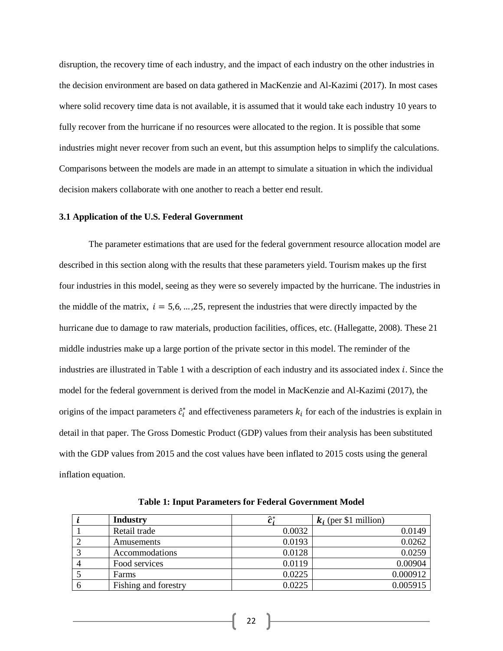disruption, the recovery time of each industry, and the impact of each industry on the other industries in the decision environment are based on data gathered in MacKenzie and Al-Kazimi (2017). In most cases where solid recovery time data is not available, it is assumed that it would take each industry 10 years to fully recover from the hurricane if no resources were allocated to the region. It is possible that some industries might never recover from such an event, but this assumption helps to simplify the calculations. Comparisons between the models are made in an attempt to simulate a situation in which the individual decision makers collaborate with one another to reach a better end result.

#### **3.1 Application of the U.S. Federal Government**

The parameter estimations that are used for the federal government resource allocation model are described in this section along with the results that these parameters yield. Tourism makes up the first four industries in this model, seeing as they were so severely impacted by the hurricane. The industries in the middle of the matrix,  $i = 5.6, ..., 25$ , represent the industries that were directly impacted by the hurricane due to damage to raw materials, production facilities, offices, etc. (Hallegatte, 2008). These 21 middle industries make up a large portion of the private sector in this model. The reminder of the industries are illustrated in Table 1 with a description of each industry and its associated index *i*. Since the model for the federal government is derived from the model in MacKenzie and Al-Kazimi (2017), the origins of the impact parameters  $\hat{c}_i^*$  and effectiveness parameters  $k_i$  for each of the industries is explain in detail in that paper. The Gross Domestic Product (GDP) values from their analysis has been substituted with the GDP values from 2015 and the cost values have been inflated to 2015 costs using the general inflation equation.

| <b>Industry</b>      | ′*     | $k_i$ (per \$1 million) |
|----------------------|--------|-------------------------|
| Retail trade         | 0.0032 | 0.0149                  |
| Amusements           | 0.0193 | 0.0262                  |
| Accommodations       | 0.0128 | 0.0259                  |
| Food services        | 0.0119 | 0.00904                 |
| Farms                | 0.0225 | 0.000912                |
| Fishing and forestry | 0.0225 | 0.005915                |

**Table 1: Input Parameters for Federal Government Model**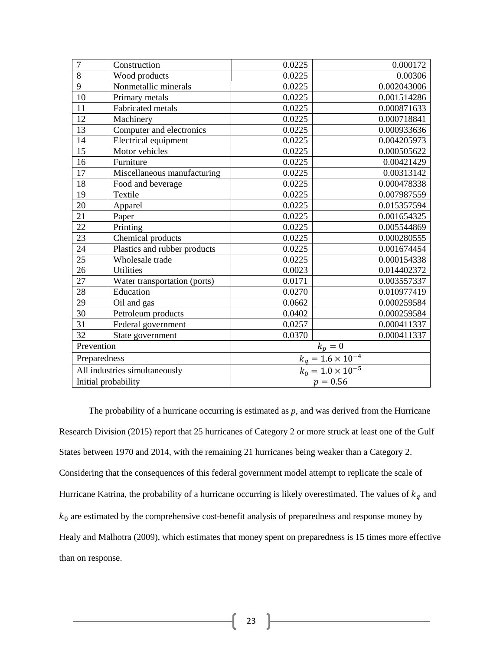| $\overline{7}$ | Construction                  | 0.0225                     | 0.000172                                   |
|----------------|-------------------------------|----------------------------|--------------------------------------------|
| 8              | Wood products                 | 0.0225                     | 0.00306                                    |
| 9              | Nonmetallic minerals          | 0.0225                     | 0.002043006                                |
| 10             | Primary metals                | 0.0225                     | 0.001514286                                |
| 11             | <b>Fabricated</b> metals      | 0.0225                     | 0.000871633                                |
| 12             | Machinery                     | 0.0225                     | 0.000718841                                |
| 13             | Computer and electronics      | 0.0225                     | 0.000933636                                |
| 14             | Electrical equipment          | 0.0225                     | 0.004205973                                |
| 15             | Motor vehicles                | 0.0225                     | 0.000505622                                |
| 16             | Furniture                     | 0.0225                     | 0.00421429                                 |
| 17             | Miscellaneous manufacturing   | 0.0225                     | 0.00313142                                 |
| 18             | Food and beverage             | 0.0225                     | 0.000478338                                |
| 19             | Textile                       | 0.0225                     | 0.007987559                                |
| 20             | Apparel                       | 0.0225                     | 0.015357594                                |
| 21             | Paper                         | 0.0225                     | 0.001654325                                |
| 22             | Printing                      | 0.0225                     | 0.005544869                                |
| 23             | Chemical products             | 0.0225                     | 0.000280555                                |
| 24             | Plastics and rubber products  | 0.0225                     | 0.001674454                                |
| 25             | Wholesale trade               | 0.0225                     | 0.000154338                                |
| 26             | <b>Utilities</b>              | 0.0023                     | 0.014402372                                |
| 27             | Water transportation (ports)  | 0.0171                     | 0.003557337                                |
| 28             | Education                     | 0.0270                     | 0.010977419                                |
| 29             | Oil and gas                   | 0.0662                     | 0.000259584                                |
| 30             | Petroleum products            | 0.0402                     | 0.000259584                                |
| 31             | Federal government            | 0.0257                     | 0.000411337                                |
| 32             | State government              | 0.0370                     | 0.000411337                                |
| Prevention     |                               |                            | $\frac{k_p = 0}{k_q = 1.6 \times 10^{-4}}$ |
| Preparedness   |                               |                            |                                            |
|                | All industries simultaneously | $k_0 = 1.0 \times 10^{-5}$ |                                            |
|                | Initial probability           | $p = 0.56$                 |                                            |

The probability of a hurricane occurring is estimated as *p*, and was derived from the Hurricane Research Division (2015) report that 25 hurricanes of Category 2 or more struck at least one of the Gulf States between 1970 and 2014, with the remaining 21 hurricanes being weaker than a Category 2. Considering that the consequences of this federal government model attempt to replicate the scale of Hurricane Katrina, the probability of a hurricane occurring is likely overestimated. The values of  $k_q$  and  $k_0$  are estimated by the comprehensive cost-benefit analysis of preparedness and response money by Healy and Malhotra (2009), which estimates that money spent on preparedness is 15 times more effective than on response.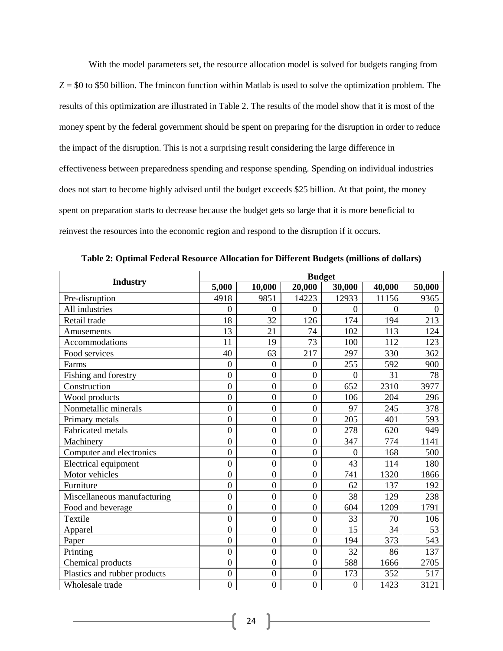With the model parameters set, the resource allocation model is solved for budgets ranging from  $Z = $0$  to \$50 billion. The fmincon function within Matlab is used to solve the optimization problem. The results of this optimization are illustrated in Table 2. The results of the model show that it is most of the money spent by the federal government should be spent on preparing for the disruption in order to reduce the impact of the disruption. This is not a surprising result considering the large difference in effectiveness between preparedness spending and response spending. Spending on individual industries does not start to become highly advised until the budget exceeds \$25 billion. At that point, the money spent on preparation starts to decrease because the budget gets so large that it is more beneficial to reinvest the resources into the economic region and respond to the disruption if it occurs.

|                              | <b>Budget</b>  |                  |                  |                |          |          |
|------------------------------|----------------|------------------|------------------|----------------|----------|----------|
| <b>Industry</b>              | 5,000          | 10,000           | 20,000           | 30,000         | 40,000   | 50,000   |
| Pre-disruption               | 4918           | 9851             | 14223            | 12933          | 11156    | 9365     |
| All industries               | $\overline{0}$ | $\Omega$         | $\theta$         | $\theta$       | $\Omega$ | $\Omega$ |
| Retail trade                 | 18             | 32               | 126              | 174            | 194      | 213      |
| Amusements                   | 13             | 21               | 74               | 102            | 113      | 124      |
| Accommodations               | 11             | 19               | 73               | 100            | 112      | 123      |
| Food services                | 40             | 63               | 217              | 297            | 330      | 362      |
| Farms                        | $\mathbf{0}$   | $\mathbf{0}$     | $\boldsymbol{0}$ | 255            | 592      | 900      |
| Fishing and forestry         | $\overline{0}$ | $\boldsymbol{0}$ | $\overline{0}$   | $\overline{0}$ | 31       | 78       |
| Construction                 | $\overline{0}$ | $\boldsymbol{0}$ | $\overline{0}$   | 652            | 2310     | 3977     |
| Wood products                | $\overline{0}$ | $\overline{0}$   | $\overline{0}$   | 106            | 204      | 296      |
| Nonmetallic minerals         | $\overline{0}$ | $\overline{0}$   | $\overline{0}$   | 97             | 245      | 378      |
| Primary metals               | $\overline{0}$ | $\overline{0}$   | $\overline{0}$   | 205            | 401      | 593      |
| <b>Fabricated</b> metals     | $\overline{0}$ | $\boldsymbol{0}$ | $\boldsymbol{0}$ | 278            | 620      | 949      |
| Machinery                    | $\overline{0}$ | $\mathbf{0}$     | $\overline{0}$   | 347            | 774      | 1141     |
| Computer and electronics     | $\overline{0}$ | $\overline{0}$   | $\overline{0}$   | $\theta$       | 168      | 500      |
| Electrical equipment         | $\overline{0}$ | $\overline{0}$   | $\overline{0}$   | 43             | 114      | 180      |
| Motor vehicles               | $\overline{0}$ | $\boldsymbol{0}$ | $\overline{0}$   | 741            | 1320     | 1866     |
| Furniture                    | $\overline{0}$ | $\overline{0}$   | $\overline{0}$   | 62             | 137      | 192      |
| Miscellaneous manufacturing  | $\overline{0}$ | $\overline{0}$   | $\overline{0}$   | 38             | 129      | 238      |
| Food and beyerage            | $\overline{0}$ | $\boldsymbol{0}$ | $\overline{0}$   | 604            | 1209     | 1791     |
| Textile                      | $\overline{0}$ | $\overline{0}$   | $\overline{0}$   | 33             | 70       | 106      |
| Apparel                      | $\overline{0}$ | $\boldsymbol{0}$ | $\overline{0}$   | 15             | 34       | 53       |
| Paper                        | $\overline{0}$ | $\overline{0}$   | $\overline{0}$   | 194            | 373      | 543      |
| Printing                     | $\overline{0}$ | $\boldsymbol{0}$ | $\overline{0}$   | 32             | 86       | 137      |
| Chemical products            | $\overline{0}$ | $\boldsymbol{0}$ | $\overline{0}$   | 588            | 1666     | 2705     |
| Plastics and rubber products | $\overline{0}$ | $\overline{0}$   | $\overline{0}$   | 173            | 352      | 517      |
| Wholesale trade              | $\overline{0}$ | $\overline{0}$   | $\overline{0}$   | $\overline{0}$ | 1423     | 3121     |

**Table 2: Optimal Federal Resource Allocation for Different Budgets (millions of dollars)**

24  $\uparrow$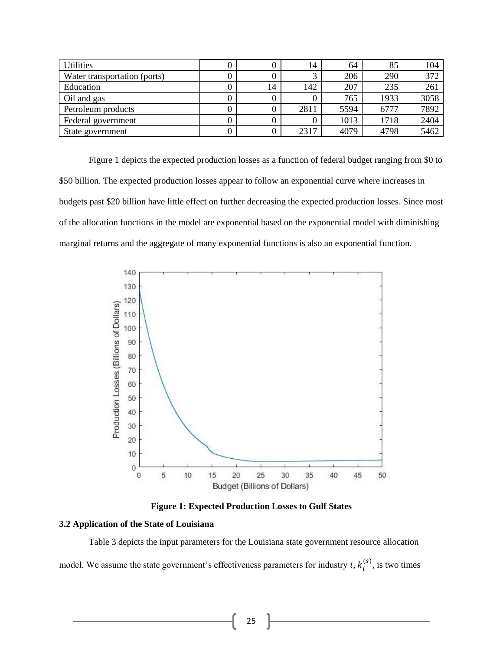| <b>Utilities</b>             |    | 14   | 64   | 85   | 104  |
|------------------------------|----|------|------|------|------|
| Water transportation (ports) |    |      | 206  | 290  | 372  |
| Education                    | 14 | 142  | 207  | 235  | 261  |
| Oil and gas                  |    |      | 765  | 1933 | 3058 |
| Petroleum products           |    | 2811 | 5594 | 6777 | 7892 |
| Federal government           |    |      | 1013 | 1718 | 2404 |
| State government             |    | 2317 | 4079 | 4798 | 5462 |

Figure 1 depicts the expected production losses as a function of federal budget ranging from \$0 to \$50 billion. The expected production losses appear to follow an exponential curve where increases in budgets past \$20 billion have little effect on further decreasing the expected production losses. Since most of the allocation functions in the model are exponential based on the exponential model with diminishing marginal returns and the aggregate of many exponential functions is also an exponential function.



**Figure 1: Expected Production Losses to Gulf States**

#### **3.2 Application of the State of Louisiana**

Table 3 depicts the input parameters for the Louisiana state government resource allocation model. We assume the state government's effectiveness parameters for industry  $i, k_i^{(s)}$ , is two times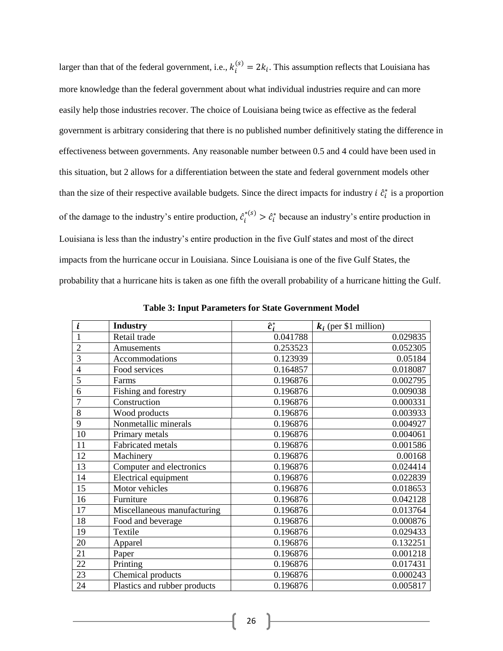larger than that of the federal government, i.e.,  $k_i^{(s)} = 2k_i$ . This assumption reflects that Louisiana has more knowledge than the federal government about what individual industries require and can more easily help those industries recover. The choice of Louisiana being twice as effective as the federal government is arbitrary considering that there is no published number definitively stating the difference in effectiveness between governments. Any reasonable number between 0.5 and 4 could have been used in this situation, but 2 allows for a differentiation between the state and federal government models other than the size of their respective available budgets. Since the direct impacts for industry  $i \hat{c}_i^*$  is a proportion of the damage to the industry's entire production,  $\hat{c}_i^{*(s)} > \hat{c}_i^*$  because an industry's entire production in Louisiana is less than the industry's entire production in the five Gulf states and most of the direct impacts from the hurricane occur in Louisiana. Since Louisiana is one of the five Gulf States, the probability that a hurricane hits is taken as one fifth the overall probability of a hurricane hitting the Gulf.

| i              | <b>Industry</b>              | $\widehat{c}^*$ | $k_i$ (per \$1 million) |
|----------------|------------------------------|-----------------|-------------------------|
| 1              | Retail trade                 | 0.041788        | 0.029835                |
| $\overline{2}$ | Amusements                   | 0.253523        | 0.052305                |
| 3              | Accommodations               | 0.123939        | 0.05184                 |
| $\overline{4}$ | Food services                | 0.164857        | 0.018087                |
| 5              | Farms                        | 0.196876        | 0.002795                |
| 6              | Fishing and forestry         | 0.196876        | 0.009038                |
| $\overline{7}$ | Construction                 | 0.196876        | 0.000331                |
| 8              | Wood products                | 0.196876        | 0.003933                |
| 9              | Nonmetallic minerals         | 0.196876        | 0.004927                |
| 10             | Primary metals               | 0.196876        | 0.004061                |
| 11             | Fabricated metals            | 0.196876        | 0.001586                |
| 12             | Machinery                    | 0.196876        | 0.00168                 |
| 13             | Computer and electronics     | 0.196876        | 0.024414                |
| 14             | Electrical equipment         | 0.196876        | 0.022839                |
| 15             | Motor vehicles               | 0.196876        | 0.018653                |
| 16             | Furniture                    | 0.196876        | 0.042128                |
| 17             | Miscellaneous manufacturing  | 0.196876        | 0.013764                |
| 18             | Food and beverage            | 0.196876        | 0.000876                |
| 19             | Textile                      | 0.196876        | 0.029433                |
| 20             | Apparel                      | 0.196876        | 0.132251                |
| 21             | Paper                        | 0.196876        | 0.001218                |
| 22             | Printing                     | 0.196876        | 0.017431                |
| 23             | Chemical products            | 0.196876        | 0.000243                |
| 24             | Plastics and rubber products | 0.196876        | 0.005817                |

**Table 3: Input Parameters for State Government Model**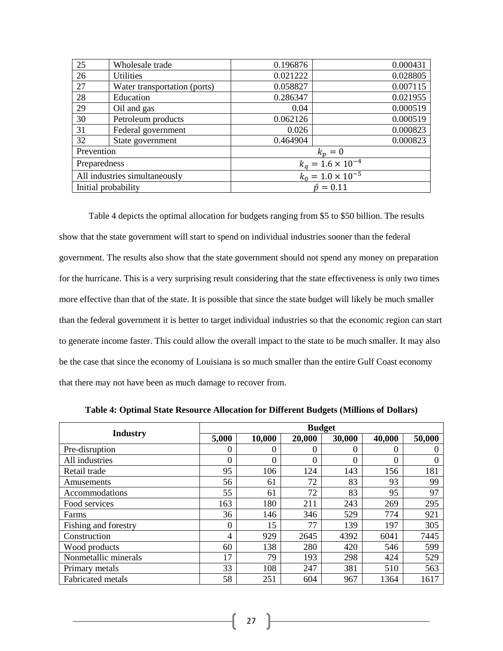| 25                            | Wholesale trade              | 0.196876                   | 0.000431 |  |
|-------------------------------|------------------------------|----------------------------|----------|--|
| 26                            | <b>Utilities</b>             | 0.021222                   | 0.028805 |  |
| 27                            | Water transportation (ports) | 0.058827                   | 0.007115 |  |
| 28                            | Education                    | 0.286347                   | 0.021955 |  |
| 29                            | Oil and gas                  | 0.04                       | 0.000519 |  |
| 30                            | Petroleum products           | 0.062126                   | 0.000519 |  |
| 31                            | Federal government           | 0.026                      | 0.000823 |  |
| 32                            | State government             | 0.464904                   | 0.000823 |  |
| Prevention                    |                              | $k_p=0$                    |          |  |
| Preparedness                  |                              | $k_q = 1.6 \times 10^{-4}$ |          |  |
| All industries simultaneously |                              | $k_0 = 1.0 \times 10^{-5}$ |          |  |
| Initial probability           |                              | $\hat{p} = 0.11$           |          |  |

Table 4 depicts the optimal allocation for budgets ranging from \$5 to \$50 billion. The results show that the state government will start to spend on individual industries sooner than the federal government. The results also show that the state government should not spend any money on preparation for the hurricane. This is a very surprising result considering that the state effectiveness is only two times more effective than that of the state. It is possible that since the state budget will likely be much smaller than the federal government it is better to target individual industries so that the economic region can start to generate income faster. This could allow the overall impact to the state to be much smaller. It may also be the case that since the economy of Louisiana is so much smaller than the entire Gulf Coast economy that there may not have been as much damage to recover from.

|                          | <b>Budget</b> |          |        |        |        |        |
|--------------------------|---------------|----------|--------|--------|--------|--------|
| <b>Industry</b>          | 5,000         | 10,000   | 20,000 | 30,000 | 40,000 | 50,000 |
| Pre-disruption           | 0             | $\theta$ | 0      | 0      |        | 0      |
| All industries           | 0             | $\theta$ | 0      | 0      | 0      | 0      |
| Retail trade             | 95            | 106      | 124    | 143    | 156    | 181    |
| Amusements               | 56            | 61       | 72     | 83     | 93     | 99     |
| Accommodations           | 55            | 61       | 72     | 83     | 95     | 97     |
| Food services            | 163           | 180      | 211    | 243    | 269    | 295    |
| Farms                    | 36            | 146      | 346    | 529    | 774    | 921    |
| Fishing and forestry     | 0             | 15       | 77     | 139    | 197    | 305    |
| Construction             | 4             | 929      | 2645   | 4392   | 6041   | 7445   |
| Wood products            | 60            | 138      | 280    | 420    | 546    | 599    |
| Nonmetallic minerals     | 17            | 79       | 193    | 298    | 424    | 529    |
| Primary metals           | 33            | 108      | 247    | 381    | 510    | 563    |
| <b>Fabricated metals</b> | 58            | 251      | 604    | 967    | 1364   | 1617   |

**Table 4: Optimal State Resource Allocation for Different Budgets (Millions of Dollars)**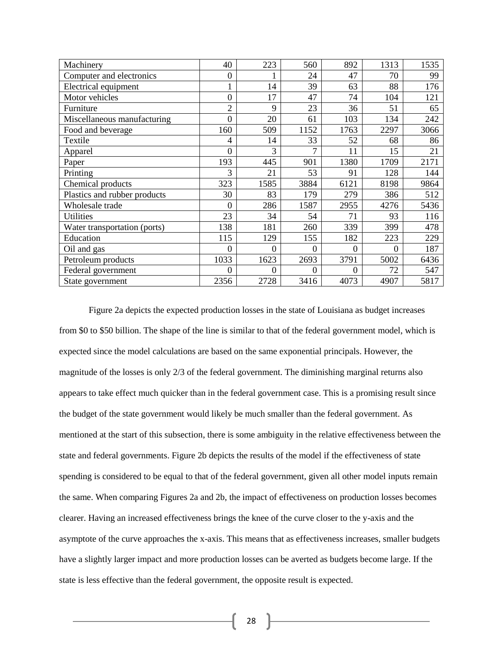| Machinery                    | 40               | 223      | 560      | 892  | 1313     | 1535 |
|------------------------------|------------------|----------|----------|------|----------|------|
| Computer and electronics     | $\boldsymbol{0}$ |          | 24       | 47   | 70       | 99   |
| Electrical equipment         |                  | 14       | 39       | 63   | 88       | 176  |
| Motor vehicles               | 0                | 17       | 47       | 74   | 104      | 121  |
| Furniture                    | $\overline{2}$   | 9        | 23       | 36   | 51       | 65   |
| Miscellaneous manufacturing  | 0                | 20       | 61       | 103  | 134      | 242  |
| Food and beverage            | 160              | 509      | 1152     | 1763 | 2297     | 3066 |
| Textile                      | 4                | 14       | 33       | 52   | 68       | 86   |
| Apparel                      | 0                | 3        | 7        | 11   | 15       | 21   |
| Paper                        | 193              | 445      | 901      | 1380 | 1709     | 2171 |
| Printing                     | 3                | 21       | 53       | 91   | 128      | 144  |
| Chemical products            | 323              | 1585     | 3884     | 6121 | 8198     | 9864 |
| Plastics and rubber products | 30               | 83       | 179      | 279  | 386      | 512  |
| Wholesale trade              | $\theta$         | 286      | 1587     | 2955 | 4276     | 5436 |
| <b>Utilities</b>             | 23               | 34       | 54       | 71   | 93       | 116  |
| Water transportation (ports) | 138              | 181      | 260      | 339  | 399      | 478  |
| Education                    | 115              | 129      | 155      | 182  | 223      | 229  |
| Oil and gas                  | 0                | $\Omega$ | 0        | 0    | $\theta$ | 187  |
| Petroleum products           | 1033             | 1623     | 2693     | 3791 | 5002     | 6436 |
| Federal government           | 0                | $\Omega$ | $\theta$ | 0    | 72       | 547  |
| State government             | 2356             | 2728     | 3416     | 4073 | 4907     | 5817 |

Figure 2a depicts the expected production losses in the state of Louisiana as budget increases from \$0 to \$50 billion. The shape of the line is similar to that of the federal government model, which is expected since the model calculations are based on the same exponential principals. However, the magnitude of the losses is only 2/3 of the federal government. The diminishing marginal returns also appears to take effect much quicker than in the federal government case. This is a promising result since the budget of the state government would likely be much smaller than the federal government. As mentioned at the start of this subsection, there is some ambiguity in the relative effectiveness between the state and federal governments. Figure 2b depicts the results of the model if the effectiveness of state spending is considered to be equal to that of the federal government, given all other model inputs remain the same. When comparing Figures 2a and 2b, the impact of effectiveness on production losses becomes clearer. Having an increased effectiveness brings the knee of the curve closer to the y-axis and the asymptote of the curve approaches the x-axis. This means that as effectiveness increases, smaller budgets have a slightly larger impact and more production losses can be averted as budgets become large. If the state is less effective than the federal government, the opposite result is expected.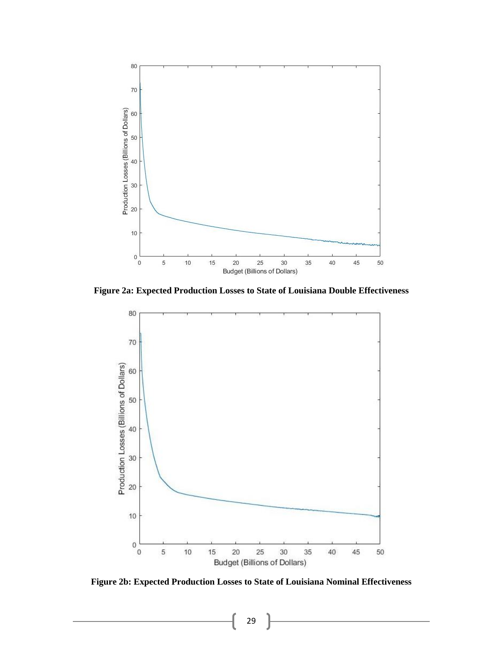

**Figure 2a: Expected Production Losses to State of Louisiana Double Effectiveness**



**Figure 2b: Expected Production Losses to State of Louisiana Nominal Effectiveness**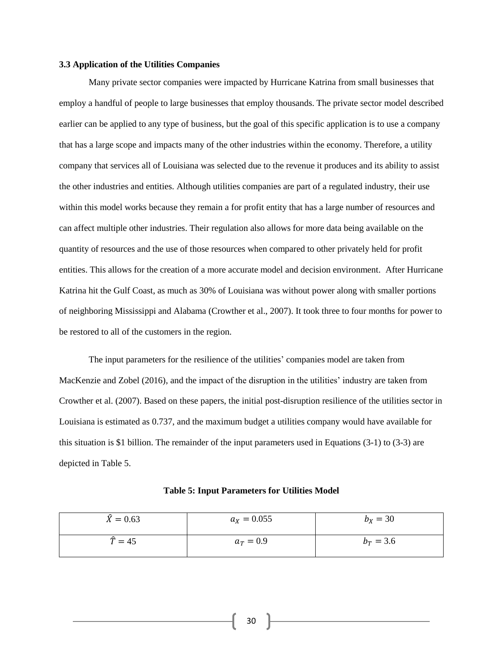#### **3.3 Application of the Utilities Companies**

Many private sector companies were impacted by Hurricane Katrina from small businesses that employ a handful of people to large businesses that employ thousands. The private sector model described earlier can be applied to any type of business, but the goal of this specific application is to use a company that has a large scope and impacts many of the other industries within the economy. Therefore, a utility company that services all of Louisiana was selected due to the revenue it produces and its ability to assist the other industries and entities. Although utilities companies are part of a regulated industry, their use within this model works because they remain a for profit entity that has a large number of resources and can affect multiple other industries. Their regulation also allows for more data being available on the quantity of resources and the use of those resources when compared to other privately held for profit entities. This allows for the creation of a more accurate model and decision environment. After Hurricane Katrina hit the Gulf Coast, as much as 30% of Louisiana was without power along with smaller portions of neighboring Mississippi and Alabama (Crowther et al., 2007). It took three to four months for power to be restored to all of the customers in the region.

The input parameters for the resilience of the utilities' companies model are taken from MacKenzie and Zobel (2016), and the impact of the disruption in the utilities' industry are taken from Crowther et al. (2007). Based on these papers, the initial post-disruption resilience of the utilities sector in Louisiana is estimated as 0.737, and the maximum budget a utilities company would have available for this situation is \$1 billion. The remainder of the input parameters used in Equations (3-1) to (3-3) are depicted in Table 5.

| $\hat{X} = 0.63$   | $a_X = 0.055$ | $b_X = 30$  |
|--------------------|---------------|-------------|
| $\widehat{T} = 45$ | $a_T = 0.9$   | $b_T = 3.6$ |

#### **Table 5: Input Parameters for Utilities Model**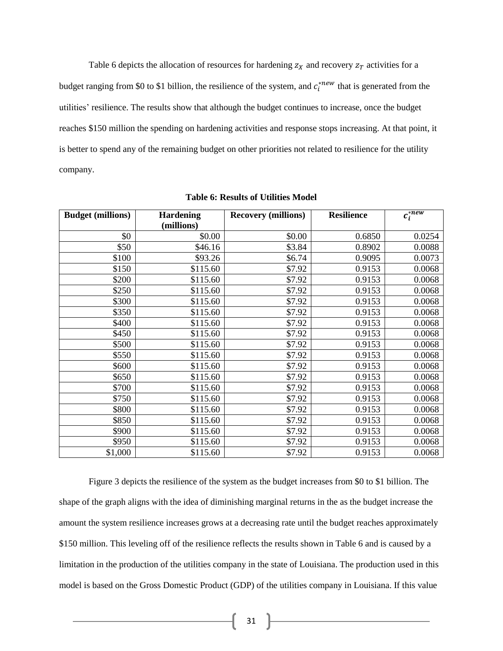Table 6 depicts the allocation of resources for hardening  $z<sub>X</sub>$  and recovery  $z<sub>T</sub>$  activities for a budget ranging from \$0 to \$1 billion, the resilience of the system, and  $c_i^{*new}$  that is generated from the utilities' resilience. The results show that although the budget continues to increase, once the budget reaches \$150 million the spending on hardening activities and response stops increasing. At that point, it is better to spend any of the remaining budget on other priorities not related to resilience for the utility company.

| <b>Budget (millions)</b> | <b>Hardening</b> | <b>Recovery (millions)</b> | <b>Resilience</b> | $c_i^{*new}$ |
|--------------------------|------------------|----------------------------|-------------------|--------------|
|                          | (millions)       |                            |                   |              |
| \$0                      | \$0.00           | \$0.00                     | 0.6850            | 0.0254       |
| \$50                     | \$46.16          | \$3.84                     | 0.8902            | 0.0088       |
| \$100                    | \$93.26          | \$6.74                     | 0.9095            | 0.0073       |
| \$150                    | \$115.60         | \$7.92                     | 0.9153            | 0.0068       |
| \$200                    | \$115.60         | \$7.92                     | 0.9153            | 0.0068       |
| \$250                    | \$115.60         | \$7.92                     | 0.9153            | 0.0068       |
| \$300                    | \$115.60         | \$7.92                     | 0.9153            | 0.0068       |
| \$350                    | \$115.60         | \$7.92                     | 0.9153            | 0.0068       |
| \$400                    | \$115.60         | \$7.92                     | 0.9153            | 0.0068       |
| \$450                    | \$115.60         | \$7.92                     | 0.9153            | 0.0068       |
| \$500                    | \$115.60         | \$7.92                     | 0.9153            | 0.0068       |
| \$550                    | \$115.60         | \$7.92                     | 0.9153            | 0.0068       |
| \$600                    | \$115.60         | \$7.92                     | 0.9153            | 0.0068       |
| \$650                    | \$115.60         | \$7.92                     | 0.9153            | 0.0068       |
| \$700                    | \$115.60         | \$7.92                     | 0.9153            | 0.0068       |
| \$750                    | \$115.60         | \$7.92                     | 0.9153            | 0.0068       |
| \$800                    | \$115.60         | \$7.92                     | 0.9153            | 0.0068       |
| \$850                    | \$115.60         | \$7.92                     | 0.9153            | 0.0068       |
| \$900                    | \$115.60         | \$7.92                     | 0.9153            | 0.0068       |
| \$950                    | \$115.60         | \$7.92                     | 0.9153            | 0.0068       |
| \$1,000                  | \$115.60         | \$7.92                     | 0.9153            | 0.0068       |

**Table 6: Results of Utilities Model**

Figure 3 depicts the resilience of the system as the budget increases from \$0 to \$1 billion. The shape of the graph aligns with the idea of diminishing marginal returns in the as the budget increase the amount the system resilience increases grows at a decreasing rate until the budget reaches approximately \$150 million. This leveling off of the resilience reflects the results shown in Table 6 and is caused by a limitation in the production of the utilities company in the state of Louisiana. The production used in this model is based on the Gross Domestic Product (GDP) of the utilities company in Louisiana. If this value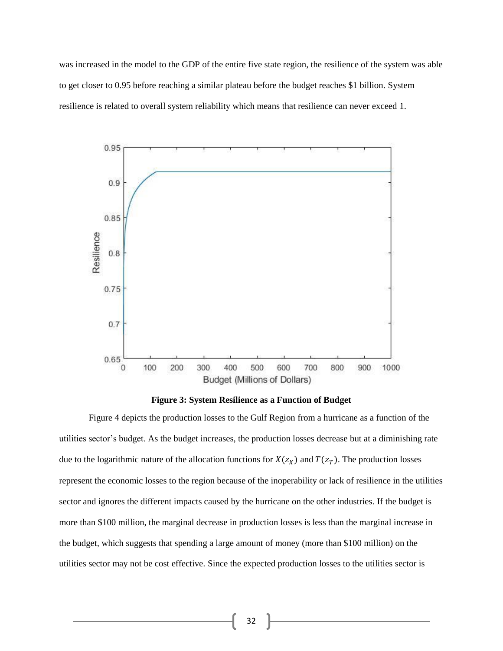was increased in the model to the GDP of the entire five state region, the resilience of the system was able to get closer to 0.95 before reaching a similar plateau before the budget reaches \$1 billion. System resilience is related to overall system reliability which means that resilience can never exceed 1.



**Figure 3: System Resilience as a Function of Budget**

Figure 4 depicts the production losses to the Gulf Region from a hurricane as a function of the utilities sector's budget. As the budget increases, the production losses decrease but at a diminishing rate due to the logarithmic nature of the allocation functions for  $X(z_X)$  and  $T(z_T)$ . The production losses represent the economic losses to the region because of the inoperability or lack of resilience in the utilities sector and ignores the different impacts caused by the hurricane on the other industries. If the budget is more than \$100 million, the marginal decrease in production losses is less than the marginal increase in the budget, which suggests that spending a large amount of money (more than \$100 million) on the utilities sector may not be cost effective. Since the expected production losses to the utilities sector is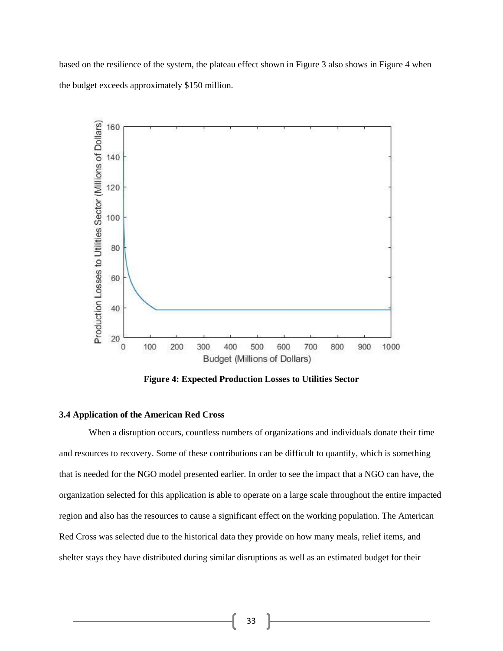based on the resilience of the system, the plateau effect shown in Figure 3 also shows in Figure 4 when the budget exceeds approximately \$150 million.



**Figure 4: Expected Production Losses to Utilities Sector**

#### **3.4 Application of the American Red Cross**

When a disruption occurs, countless numbers of organizations and individuals donate their time and resources to recovery. Some of these contributions can be difficult to quantify, which is something that is needed for the NGO model presented earlier. In order to see the impact that a NGO can have, the organization selected for this application is able to operate on a large scale throughout the entire impacted region and also has the resources to cause a significant effect on the working population. The American Red Cross was selected due to the historical data they provide on how many meals, relief items, and shelter stays they have distributed during similar disruptions as well as an estimated budget for their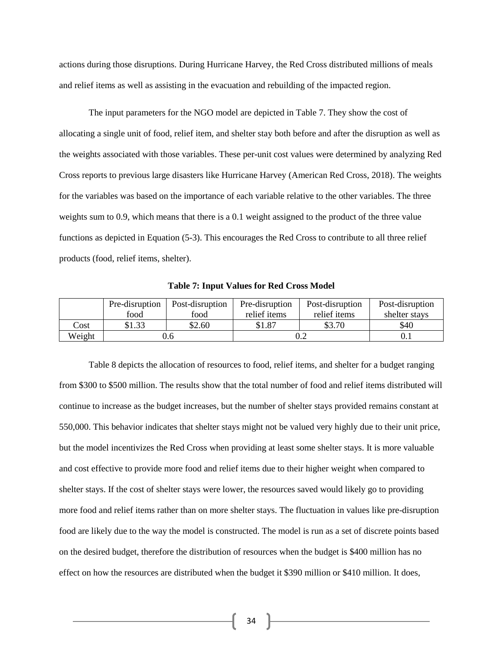actions during those disruptions. During Hurricane Harvey, the Red Cross distributed millions of meals and relief items as well as assisting in the evacuation and rebuilding of the impacted region.

The input parameters for the NGO model are depicted in Table 7. They show the cost of allocating a single unit of food, relief item, and shelter stay both before and after the disruption as well as the weights associated with those variables. These per-unit cost values were determined by analyzing Red Cross reports to previous large disasters like Hurricane Harvey (American Red Cross, 2018). The weights for the variables was based on the importance of each variable relative to the other variables. The three weights sum to 0.9, which means that there is a 0.1 weight assigned to the product of the three value functions as depicted in Equation (5-3). This encourages the Red Cross to contribute to all three relief products (food, relief items, shelter).

|        | Pre-disruption | Post-disruption | Pre-disruption | Post-disruption | Post-disruption |
|--------|----------------|-----------------|----------------|-----------------|-----------------|
|        | food           | food            | relief items   | relief items    | shelter stays   |
| Cost   | \$1.33         | \$2.60          | \$1.87         | \$3.70          | \$40            |
| Weight | J.O            |                 |                |                 |                 |

**Table 7: Input Values for Red Cross Model**

Table 8 depicts the allocation of resources to food, relief items, and shelter for a budget ranging from \$300 to \$500 million. The results show that the total number of food and relief items distributed will continue to increase as the budget increases, but the number of shelter stays provided remains constant at 550,000. This behavior indicates that shelter stays might not be valued very highly due to their unit price, but the model incentivizes the Red Cross when providing at least some shelter stays. It is more valuable and cost effective to provide more food and relief items due to their higher weight when compared to shelter stays. If the cost of shelter stays were lower, the resources saved would likely go to providing more food and relief items rather than on more shelter stays. The fluctuation in values like pre-disruption food are likely due to the way the model is constructed. The model is run as a set of discrete points based on the desired budget, therefore the distribution of resources when the budget is \$400 million has no effect on how the resources are distributed when the budget it \$390 million or \$410 million. It does,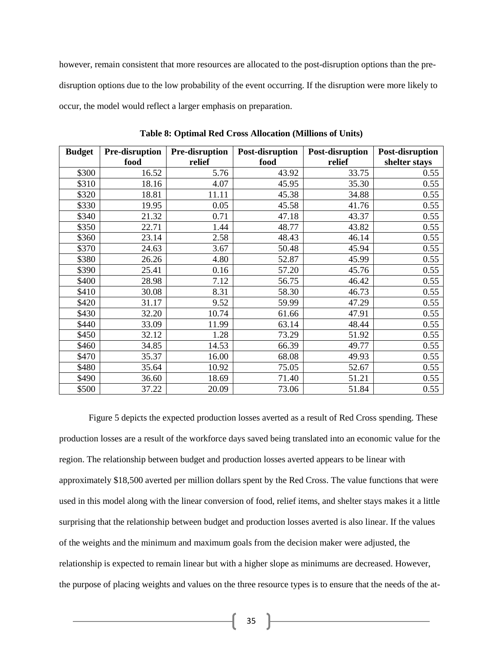however, remain consistent that more resources are allocated to the post-disruption options than the predisruption options due to the low probability of the event occurring. If the disruption were more likely to occur, the model would reflect a larger emphasis on preparation.

| <b>Budget</b> | Pre-disruption | Pre-disruption | Post-disruption | Post-disruption | Post-disruption |
|---------------|----------------|----------------|-----------------|-----------------|-----------------|
|               | food           | relief         | food            | relief          | shelter stays   |
| \$300         | 16.52          | 5.76           | 43.92           | 33.75           | 0.55            |
| \$310         | 18.16          | 4.07           | 45.95           | 35.30           | 0.55            |
| \$320         | 18.81          | 11.11          | 45.38           | 34.88           | 0.55            |
| \$330         | 19.95          | 0.05           | 45.58           | 41.76           | 0.55            |
| \$340         | 21.32          | 0.71           | 47.18           | 43.37           | 0.55            |
| \$350         | 22.71          | 1.44           | 48.77           | 43.82           | 0.55            |
| \$360         | 23.14          | 2.58           | 48.43           | 46.14           | 0.55            |
| \$370         | 24.63          | 3.67           | 50.48           | 45.94           | 0.55            |
| \$380         | 26.26          | 4.80           | 52.87           | 45.99           | 0.55            |
| \$390         | 25.41          | 0.16           | 57.20           | 45.76           | 0.55            |
| \$400         | 28.98          | 7.12           | 56.75           | 46.42           | 0.55            |
| \$410         | 30.08          | 8.31           | 58.30           | 46.73           | 0.55            |
| \$420         | 31.17          | 9.52           | 59.99           | 47.29           | 0.55            |
| \$430         | 32.20          | 10.74          | 61.66           | 47.91           | 0.55            |
| \$440         | 33.09          | 11.99          | 63.14           | 48.44           | 0.55            |
| \$450         | 32.12          | 1.28           | 73.29           | 51.92           | 0.55            |
| \$460         | 34.85          | 14.53          | 66.39           | 49.77           | 0.55            |
| \$470         | 35.37          | 16.00          | 68.08           | 49.93           | 0.55            |
| \$480         | 35.64          | 10.92          | 75.05           | 52.67           | 0.55            |
| \$490         | 36.60          | 18.69          | 71.40           | 51.21           | 0.55            |
| \$500         | 37.22          | 20.09          | 73.06           | 51.84           | 0.55            |

**Table 8: Optimal Red Cross Allocation (Millions of Units)**

Figure 5 depicts the expected production losses averted as a result of Red Cross spending. These production losses are a result of the workforce days saved being translated into an economic value for the region. The relationship between budget and production losses averted appears to be linear with approximately \$18,500 averted per million dollars spent by the Red Cross. The value functions that were used in this model along with the linear conversion of food, relief items, and shelter stays makes it a little surprising that the relationship between budget and production losses averted is also linear. If the values of the weights and the minimum and maximum goals from the decision maker were adjusted, the relationship is expected to remain linear but with a higher slope as minimums are decreased. However, the purpose of placing weights and values on the three resource types is to ensure that the needs of the at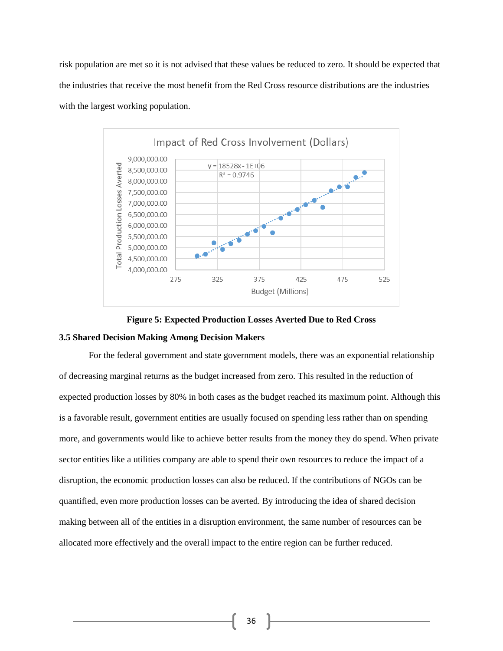risk population are met so it is not advised that these values be reduced to zero. It should be expected that the industries that receive the most benefit from the Red Cross resource distributions are the industries with the largest working population.





#### **3.5 Shared Decision Making Among Decision Makers**

For the federal government and state government models, there was an exponential relationship of decreasing marginal returns as the budget increased from zero. This resulted in the reduction of expected production losses by 80% in both cases as the budget reached its maximum point. Although this is a favorable result, government entities are usually focused on spending less rather than on spending more, and governments would like to achieve better results from the money they do spend. When private sector entities like a utilities company are able to spend their own resources to reduce the impact of a disruption, the economic production losses can also be reduced. If the contributions of NGOs can be quantified, even more production losses can be averted. By introducing the idea of shared decision making between all of the entities in a disruption environment, the same number of resources can be allocated more effectively and the overall impact to the entire region can be further reduced.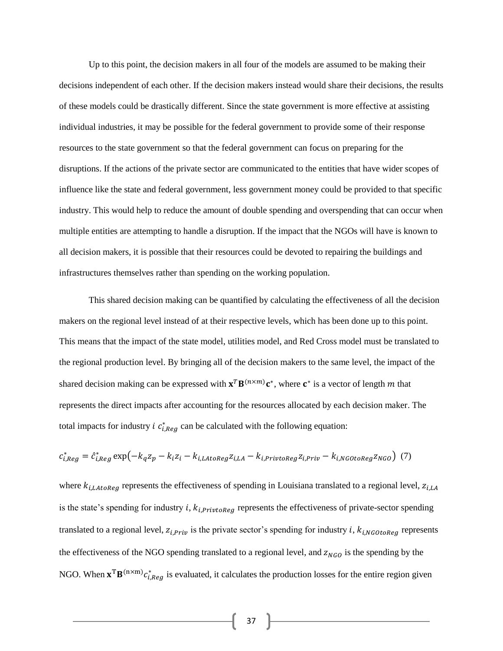Up to this point, the decision makers in all four of the models are assumed to be making their decisions independent of each other. If the decision makers instead would share their decisions, the results of these models could be drastically different. Since the state government is more effective at assisting individual industries, it may be possible for the federal government to provide some of their response resources to the state government so that the federal government can focus on preparing for the disruptions. If the actions of the private sector are communicated to the entities that have wider scopes of influence like the state and federal government, less government money could be provided to that specific industry. This would help to reduce the amount of double spending and overspending that can occur when multiple entities are attempting to handle a disruption. If the impact that the NGOs will have is known to all decision makers, it is possible that their resources could be devoted to repairing the buildings and infrastructures themselves rather than spending on the working population.

This shared decision making can be quantified by calculating the effectiveness of all the decision makers on the regional level instead of at their respective levels, which has been done up to this point. This means that the impact of the state model, utilities model, and Red Cross model must be translated to the regional production level. By bringing all of the decision makers to the same level, the impact of the shared decision making can be expressed with  $\mathbf{x}^T \mathbf{B}^{(n \times m)} \mathbf{c}^*$ , where  $\mathbf{c}^*$  is a vector of length m that represents the direct impacts after accounting for the resources allocated by each decision maker. The total impacts for industry *i*  $c_{i,Reg}^*$  can be calculated with the following equation:

$$
c_{i,Reg}^* = \hat{c}_{i,Reg}^* \exp(-k_q z_p - k_i z_i - k_{i,Latoneg} z_{i,LA} - k_{i,PrivtoReg} z_{i,Priv} - k_{i,NGOtoReg} z_{NGO})
$$
 (7)

where  $k_{i,LAtoReg}$  represents the effectiveness of spending in Louisiana translated to a regional level,  $z_{i,LA}$ is the state's spending for industry  $i$ ,  $k_{i,Private}$  represents the effectiveness of private-sector spending translated to a regional level,  $z_{i,Priv}$  is the private sector's spending for industry i,  $k_{i, NGOtoReg}$  represents the effectiveness of the NGO spending translated to a regional level, and  $z_{NGO}$  is the spending by the NGO. When  $\mathbf{x}^T \mathbf{B}^{(n \times m)} c_{i,Reg}^*$  is evaluated, it calculates the production losses for the entire region given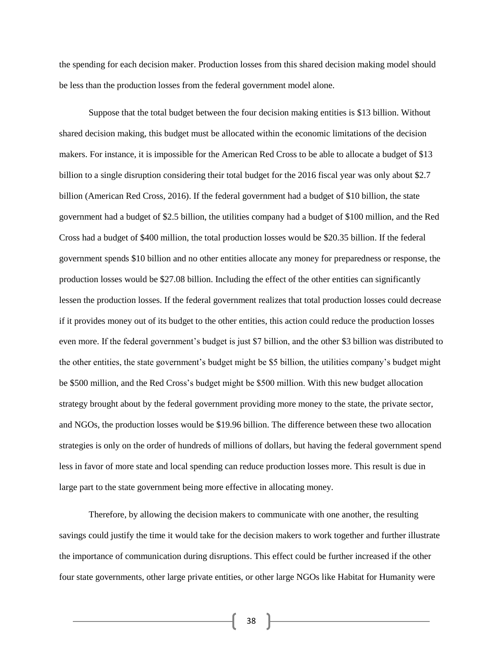the spending for each decision maker. Production losses from this shared decision making model should be less than the production losses from the federal government model alone.

Suppose that the total budget between the four decision making entities is \$13 billion. Without shared decision making, this budget must be allocated within the economic limitations of the decision makers. For instance, it is impossible for the American Red Cross to be able to allocate a budget of \$13 billion to a single disruption considering their total budget for the 2016 fiscal year was only about \$2.7 billion (American Red Cross, 2016). If the federal government had a budget of \$10 billion, the state government had a budget of \$2.5 billion, the utilities company had a budget of \$100 million, and the Red Cross had a budget of \$400 million, the total production losses would be \$20.35 billion. If the federal government spends \$10 billion and no other entities allocate any money for preparedness or response, the production losses would be \$27.08 billion. Including the effect of the other entities can significantly lessen the production losses. If the federal government realizes that total production losses could decrease if it provides money out of its budget to the other entities, this action could reduce the production losses even more. If the federal government's budget is just \$7 billion, and the other \$3 billion was distributed to the other entities, the state government's budget might be \$5 billion, the utilities company's budget might be \$500 million, and the Red Cross's budget might be \$500 million. With this new budget allocation strategy brought about by the federal government providing more money to the state, the private sector, and NGOs, the production losses would be \$19.96 billion. The difference between these two allocation strategies is only on the order of hundreds of millions of dollars, but having the federal government spend less in favor of more state and local spending can reduce production losses more. This result is due in large part to the state government being more effective in allocating money.

Therefore, by allowing the decision makers to communicate with one another, the resulting savings could justify the time it would take for the decision makers to work together and further illustrate the importance of communication during disruptions. This effect could be further increased if the other four state governments, other large private entities, or other large NGOs like Habitat for Humanity were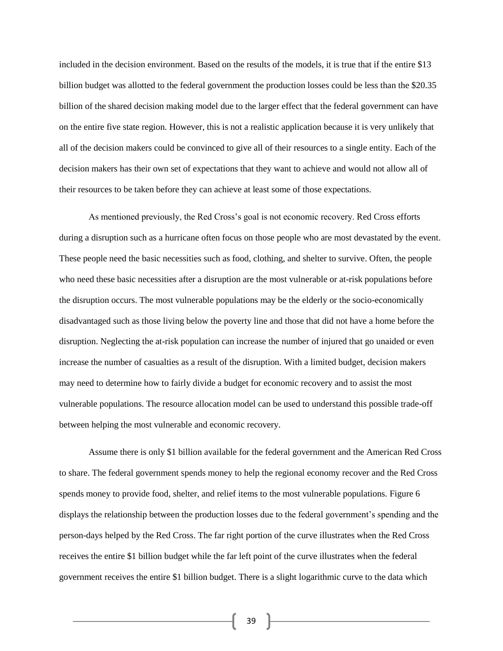included in the decision environment. Based on the results of the models, it is true that if the entire \$13 billion budget was allotted to the federal government the production losses could be less than the \$20.35 billion of the shared decision making model due to the larger effect that the federal government can have on the entire five state region. However, this is not a realistic application because it is very unlikely that all of the decision makers could be convinced to give all of their resources to a single entity. Each of the decision makers has their own set of expectations that they want to achieve and would not allow all of their resources to be taken before they can achieve at least some of those expectations.

As mentioned previously, the Red Cross's goal is not economic recovery. Red Cross efforts during a disruption such as a hurricane often focus on those people who are most devastated by the event. These people need the basic necessities such as food, clothing, and shelter to survive. Often, the people who need these basic necessities after a disruption are the most vulnerable or at-risk populations before the disruption occurs. The most vulnerable populations may be the elderly or the socio-economically disadvantaged such as those living below the poverty line and those that did not have a home before the disruption. Neglecting the at-risk population can increase the number of injured that go unaided or even increase the number of casualties as a result of the disruption. With a limited budget, decision makers may need to determine how to fairly divide a budget for economic recovery and to assist the most vulnerable populations. The resource allocation model can be used to understand this possible trade-off between helping the most vulnerable and economic recovery.

Assume there is only \$1 billion available for the federal government and the American Red Cross to share. The federal government spends money to help the regional economy recover and the Red Cross spends money to provide food, shelter, and relief items to the most vulnerable populations. Figure 6 displays the relationship between the production losses due to the federal government's spending and the person-days helped by the Red Cross. The far right portion of the curve illustrates when the Red Cross receives the entire \$1 billion budget while the far left point of the curve illustrates when the federal government receives the entire \$1 billion budget. There is a slight logarithmic curve to the data which

 $39$  }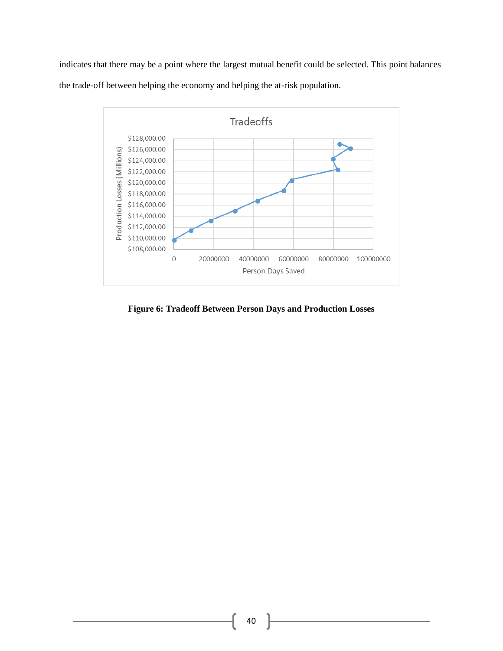indicates that there may be a point where the largest mutual benefit could be selected. This point balances the trade-off between helping the economy and helping the at-risk population.



**Figure 6: Tradeoff Between Person Days and Production Losses**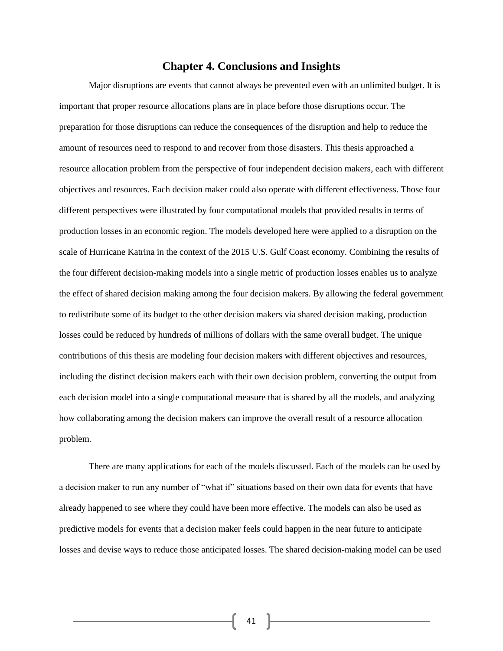#### **Chapter 4. Conclusions and Insights**

Major disruptions are events that cannot always be prevented even with an unlimited budget. It is important that proper resource allocations plans are in place before those disruptions occur. The preparation for those disruptions can reduce the consequences of the disruption and help to reduce the amount of resources need to respond to and recover from those disasters. This thesis approached a resource allocation problem from the perspective of four independent decision makers, each with different objectives and resources. Each decision maker could also operate with different effectiveness. Those four different perspectives were illustrated by four computational models that provided results in terms of production losses in an economic region. The models developed here were applied to a disruption on the scale of Hurricane Katrina in the context of the 2015 U.S. Gulf Coast economy. Combining the results of the four different decision-making models into a single metric of production losses enables us to analyze the effect of shared decision making among the four decision makers. By allowing the federal government to redistribute some of its budget to the other decision makers via shared decision making, production losses could be reduced by hundreds of millions of dollars with the same overall budget. The unique contributions of this thesis are modeling four decision makers with different objectives and resources, including the distinct decision makers each with their own decision problem, converting the output from each decision model into a single computational measure that is shared by all the models, and analyzing how collaborating among the decision makers can improve the overall result of a resource allocation problem.

There are many applications for each of the models discussed. Each of the models can be used by a decision maker to run any number of "what if" situations based on their own data for events that have already happened to see where they could have been more effective. The models can also be used as predictive models for events that a decision maker feels could happen in the near future to anticipate losses and devise ways to reduce those anticipated losses. The shared decision-making model can be used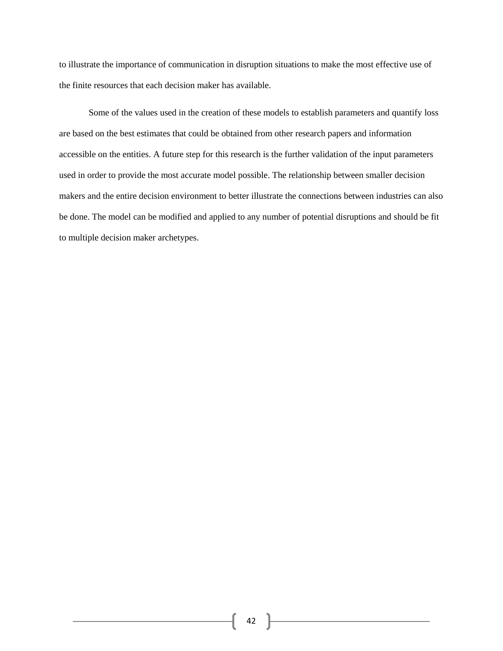to illustrate the importance of communication in disruption situations to make the most effective use of the finite resources that each decision maker has available.

Some of the values used in the creation of these models to establish parameters and quantify loss are based on the best estimates that could be obtained from other research papers and information accessible on the entities. A future step for this research is the further validation of the input parameters used in order to provide the most accurate model possible. The relationship between smaller decision makers and the entire decision environment to better illustrate the connections between industries can also be done. The model can be modified and applied to any number of potential disruptions and should be fit to multiple decision maker archetypes.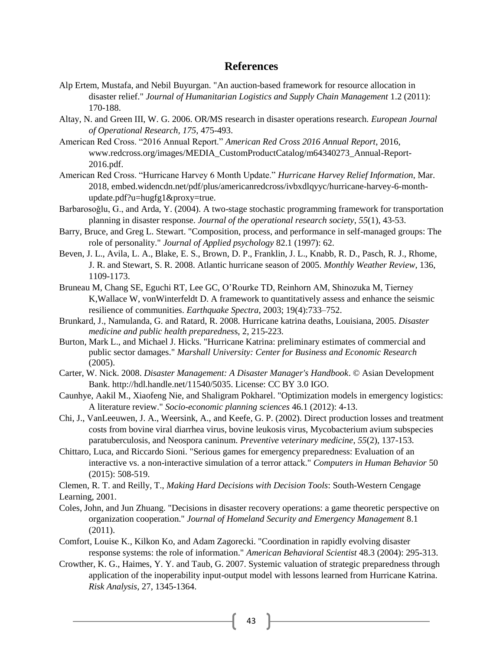#### **References**

- Alp Ertem, Mustafa, and Nebil Buyurgan. "An auction-based framework for resource allocation in disaster relief." *Journal of Humanitarian Logistics and Supply Chain Management* 1.2 (2011): 170-188.
- Altay, N. and Green III, W. G. 2006. OR/MS research in disaster operations research. *European Journal of Operational Research, 175*, 475-493.
- American Red Cross. "2016 Annual Report." *American Red Cross 2016 Annual Report*, 2016, www.redcross.org/images/MEDIA\_CustomProductCatalog/m64340273\_Annual-Report-2016.pdf.
- American Red Cross. "Hurricane Harvey 6 Month Update." *Hurricane Harvey Relief Information*, Mar. 2018, embed.widencdn.net/pdf/plus/americanredcross/ivbxdlqyyc/hurricane-harvey-6-monthupdate.pdf?u=hugfg1&proxy=true.
- Barbarosoğlu, G., and Arda, Y. (2004). A two-stage stochastic programming framework for transportation planning in disaster response. *Journal of the operational research society*, *55*(1), 43-53.
- Barry, Bruce, and Greg L. Stewart. "Composition, process, and performance in self-managed groups: The role of personality." *Journal of Applied psychology* 82.1 (1997): 62.
- Beven, J. L., Avila, L. A., Blake, E. S., Brown, D. P., Franklin, J. L., Knabb, R. D., Pasch, R. J., Rhome, J. R. and Stewart, S. R. 2008. Atlantic hurricane season of 2005. *Monthly Weather Review*, 136, 1109-1173.
- Bruneau M, Chang SE, Eguchi RT, Lee GC, O'Rourke TD, Reinhorn AM, Shinozuka M, Tierney K,Wallace W, vonWinterfeldt D. A framework to quantitatively assess and enhance the seismic resilience of communities. *Earthquake Spectra*, 2003; 19(4):733–752.
- Brunkard, J., Namulanda, G. and Ratard, R. 2008. Hurricane katrina deaths, Louisiana, 2005. *Disaster medicine and public health preparednes*s, 2, 215-223.
- Burton, Mark L., and Michael J. Hicks. "Hurricane Katrina: preliminary estimates of commercial and public sector damages." *Marshall University: Center for Business and Economic Research* (2005).
- Carter, W. Nick. 2008. *Disaster Management: A Disaster Manager's Handbook*. © Asian Development Bank. http://hdl.handle.net/11540/5035. License: CC BY 3.0 IGO.
- Caunhye, Aakil M., Xiaofeng Nie, and Shaligram Pokharel. "Optimization models in emergency logistics: A literature review." *Socio-economic planning sciences* 46.1 (2012): 4-13.
- Chi, J., VanLeeuwen, J. A., Weersink, A., and Keefe, G. P. (2002). Direct production losses and treatment costs from bovine viral diarrhea virus, bovine leukosis virus, Mycobacterium avium subspecies paratuberculosis, and Neospora caninum. *Preventive veterinary medicine*, *55*(2), 137-153.
- Chittaro, Luca, and Riccardo Sioni. "Serious games for emergency preparedness: Evaluation of an interactive vs. a non-interactive simulation of a terror attack." *Computers in Human Behavior* 50 (2015): 508-519.

Clemen, R. T. and Reilly, T., *Making Hard Decisions with Decision Tools*: South-Western Cengage Learning, 2001.

- Coles, John, and Jun Zhuang. "Decisions in disaster recovery operations: a game theoretic perspective on organization cooperation." *Journal of Homeland Security and Emergency Management* 8.1 (2011).
- Comfort, Louise K., Kilkon Ko, and Adam Zagorecki. "Coordination in rapidly evolving disaster response systems: the role of information." *American Behavioral Scientist* 48.3 (2004): 295-313.
- Crowther, K. G., Haimes, Y. Y. and Taub, G. 2007. Systemic valuation of strategic preparedness through application of the inoperability input-output model with lessons learned from Hurricane Katrina. *Risk Analysis*, 27, 1345-1364.

 $\{43\}$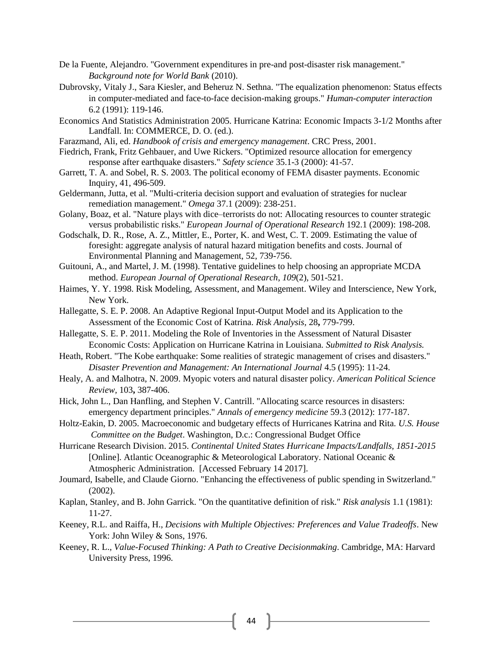- De la Fuente, Alejandro. "Government expenditures in pre-and post-disaster risk management." *Background note for World Bank* (2010).
- Dubrovsky, Vitaly J., Sara Kiesler, and Beheruz N. Sethna. "The equalization phenomenon: Status effects in computer-mediated and face-to-face decision-making groups." *Human-computer interaction* 6.2 (1991): 119-146.
- Economics And Statistics Administration 2005. Hurricane Katrina: Economic Impacts 3-1/2 Months after Landfall. In: COMMERCE, D. O. (ed.).
- Farazmand, Ali, ed. *Handbook of crisis and emergency management*. CRC Press, 2001.
- Fiedrich, Frank, Fritz Gehbauer, and Uwe Rickers. "Optimized resource allocation for emergency response after earthquake disasters." *Safety science* 35.1-3 (2000): 41-57.
- Garrett, T. A. and Sobel, R. S. 2003. The political economy of FEMA disaster payments. Economic Inquiry, 41, 496-509.
- Geldermann, Jutta, et al. "Multi-criteria decision support and evaluation of strategies for nuclear remediation management." *Omega* 37.1 (2009): 238-251.
- Golany, Boaz, et al. "Nature plays with dice–terrorists do not: Allocating resources to counter strategic versus probabilistic risks." *European Journal of Operational Research* 192.1 (2009): 198-208.
- Godschalk, D. R., Rose, A. Z., Mittler, E., Porter, K. and West, C. T. 2009. Estimating the value of foresight: aggregate analysis of natural hazard mitigation benefits and costs. Journal of Environmental Planning and Management, 52, 739-756.
- Guitouni, A., and Martel, J. M. (1998). Tentative guidelines to help choosing an appropriate MCDA method. *European Journal of Operational Research*, *109*(2), 501-521.
- Haimes, Y. Y. 1998. Risk Modeling, Assessment, and Management. Wiley and Interscience, New York, New York.
- Hallegatte, S. E. P. 2008. An Adaptive Regional Input-Output Model and its Application to the Assessment of the Economic Cost of Katrina. *Risk Analysis,* 28**,** 779-799.
- Hallegatte, S. E. P. 2011. Modeling the Role of Inventories in the Assessment of Natural Disaster Economic Costs: Application on Hurricane Katrina in Louisiana. *Submitted to Risk Analysis.*
- Heath, Robert. "The Kobe earthquake: Some realities of strategic management of crises and disasters." *Disaster Prevention and Management: An International Journal* 4.5 (1995): 11-24.
- Healy, A. and Malhotra, N. 2009. Myopic voters and natural disaster policy. *American Political Science Review,* 103**,** 387-406.
- Hick, John L., Dan Hanfling, and Stephen V. Cantrill. "Allocating scarce resources in disasters: emergency department principles." *Annals of emergency medicine* 59.3 (2012): 177-187.
- Holtz-Eakin, D. 2005. Macroeconomic and budgetary effects of Hurricanes Katrina and Rita. *U.S. House Committee on the Budget*. Washington, D.c.: Congressional Budget Office
- Hurricane Research Division. 2015. *Continental United States Hurricane Impacts/Landfalls, 1851-2015* [Online]. Atlantic Oceanographic & Meteorological Laboratory. National Oceanic & Atmospheric Administration. [Accessed February 14 2017].
- Joumard, Isabelle, and Claude Giorno. "Enhancing the effectiveness of public spending in Switzerland." (2002).
- Kaplan, Stanley, and B. John Garrick. "On the quantitative definition of risk." *Risk analysis* 1.1 (1981): 11-27.
- Keeney, R.L. and Raiffa, H., *Decisions with Multiple Objectives: Preferences and Value Tradeoffs*. New York: John Wiley & Sons, 1976.
- Keeney, R. L., *Value-Focused Thinking: A Path to Creative Decisionmaking*. Cambridge, MA: Harvard University Press, 1996.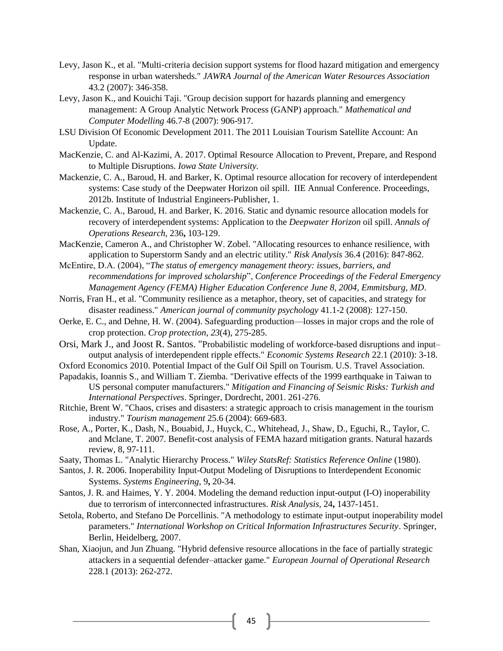- Levy, Jason K., et al. "Multi-criteria decision support systems for flood hazard mitigation and emergency response in urban watersheds." *JAWRA Journal of the American Water Resources Association* 43.2 (2007): 346-358.
- Levy, Jason K., and Kouichi Taji. "Group decision support for hazards planning and emergency management: A Group Analytic Network Process (GANP) approach." *Mathematical and Computer Modelling* 46.7-8 (2007): 906-917.
- LSU Division Of Economic Development 2011. The 2011 Louisian Tourism Satellite Account: An Update.
- MacKenzie, C. and Al-Kazimi, A. 2017. Optimal Resource Allocation to Prevent, Prepare, and Respond to Multiple Disruptions. *Iowa State University.*
- Mackenzie, C. A., Baroud, H. and Barker, K. Optimal resource allocation for recovery of interdependent systems: Case study of the Deepwater Horizon oil spill. IIE Annual Conference. Proceedings, 2012b. Institute of Industrial Engineers-Publisher, 1.
- Mackenzie, C. A., Baroud, H. and Barker, K. 2016. Static and dynamic resource allocation models for recovery of interdependent systems: Application to the *Deepwater Horizon* oil spill. *Annals of Operations Research,* 236**,** 103-129.
- MacKenzie, Cameron A., and Christopher W. Zobel. "Allocating resources to enhance resilience, with application to Superstorm Sandy and an electric utility." *Risk Analysis* 36.4 (2016): 847-862.
- McEntire, D.A. (2004), "*The status of emergency management theory: issues, barriers, and recommendations for improved scholarship*", *Conference Proceedings of the Federal Emergency Management Agency (FEMA) Higher Education Conference June 8, 2004, Emmitsburg, MD*.
- Norris, Fran H., et al. "Community resilience as a metaphor, theory, set of capacities, and strategy for disaster readiness." *American journal of community psychology* 41.1-2 (2008): 127-150.
- Oerke, E. C., and Dehne, H. W. (2004). Safeguarding production—losses in major crops and the role of crop protection. *Crop protection*, *23*(4), 275-285.
- Orsi, Mark J., and Joost R. Santos. "Probabilistic modeling of workforce-based disruptions and input– output analysis of interdependent ripple effects." *Economic Systems Research* 22.1 (2010): 3-18.

Oxford Economics 2010. Potential Impact of the Gulf Oil Spill on Tourism. U.S. Travel Association.

- Papadakis, Ioannis S., and William T. Ziemba. "Derivative effects of the 1999 earthquake in Taiwan to US personal computer manufacturers." *Mitigation and Financing of Seismic Risks: Turkish and International Perspectives*. Springer, Dordrecht, 2001. 261-276.
- Ritchie, Brent W. "Chaos, crises and disasters: a strategic approach to crisis management in the tourism industry." *Tourism management* 25.6 (2004): 669-683.
- Rose, A., Porter, K., Dash, N., Bouabid, J., Huyck, C., Whitehead, J., Shaw, D., Eguchi, R., Taylor, C. and Mclane, T. 2007. Benefit-cost analysis of FEMA hazard mitigation grants. Natural hazards review, 8, 97-111.
- Saaty, Thomas L. "Analytic Hierarchy Process." *Wiley StatsRef: Statistics Reference Online* (1980).
- Santos, J. R. 2006. Inoperability Input-Output Modeling of Disruptions to Interdependent Economic Systems. *Systems Engineering,* 9**,** 20-34.
- Santos, J. R. and Haimes, Y. Y. 2004. Modeling the demand reduction input-output (I-O) inoperability due to terrorism of interconnected infrastructures. *Risk Analysis,* 24**,** 1437-1451.
- Setola, Roberto, and Stefano De Porcellinis. "A methodology to estimate input-output inoperability model parameters." *International Workshop on Critical Information Infrastructures Security*. Springer, Berlin, Heidelberg, 2007.
- Shan, Xiaojun, and Jun Zhuang. "Hybrid defensive resource allocations in the face of partially strategic attackers in a sequential defender–attacker game." *European Journal of Operational Research* 228.1 (2013): 262-272.